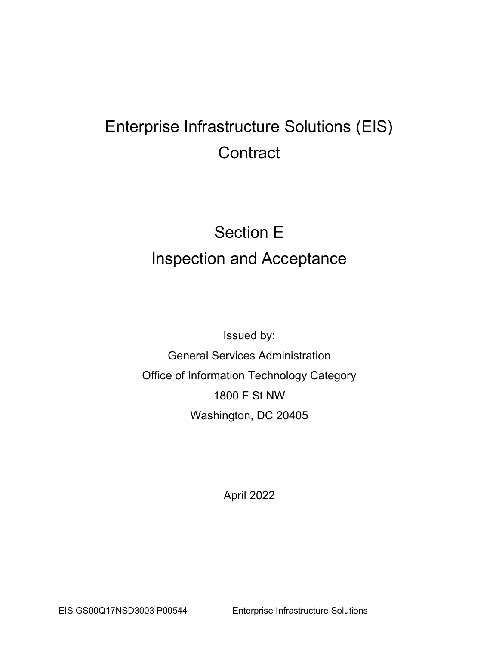# Enterprise Infrastructure Solutions (EIS) **Contract**

# Section E Inspection and Acceptance

Issued by: General Services Administration Office of Information Technology Category 1800 F St NW Washington, DC 20405

April 2022

EIS GS00Q17NSD3003 P00544 Enterprise Infrastructure Solutions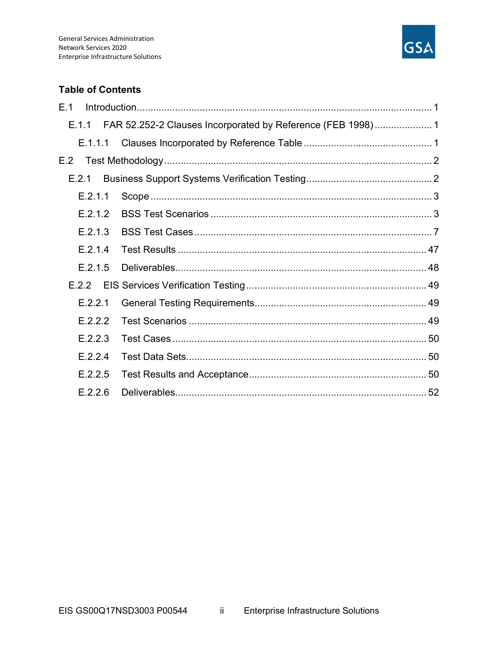

## **Table of Contents**

| E.1     |                                                                   |  |
|---------|-------------------------------------------------------------------|--|
|         | E.1.1 FAR 52.252-2 Clauses Incorporated by Reference (FEB 1998) 1 |  |
| E.1.1.1 |                                                                   |  |
| E.2     |                                                                   |  |
| E.2.1   |                                                                   |  |
| E.2.1.1 |                                                                   |  |
| E.2.1.2 |                                                                   |  |
| E.2.1.3 |                                                                   |  |
| E.2.1.4 |                                                                   |  |
| E.2.1.5 |                                                                   |  |
|         |                                                                   |  |
| E.2.2.1 |                                                                   |  |
| E.2.2.2 |                                                                   |  |
| E.2.2.3 |                                                                   |  |
| E.2.2.4 |                                                                   |  |
| E.2.2.5 |                                                                   |  |
| E.2.2.6 |                                                                   |  |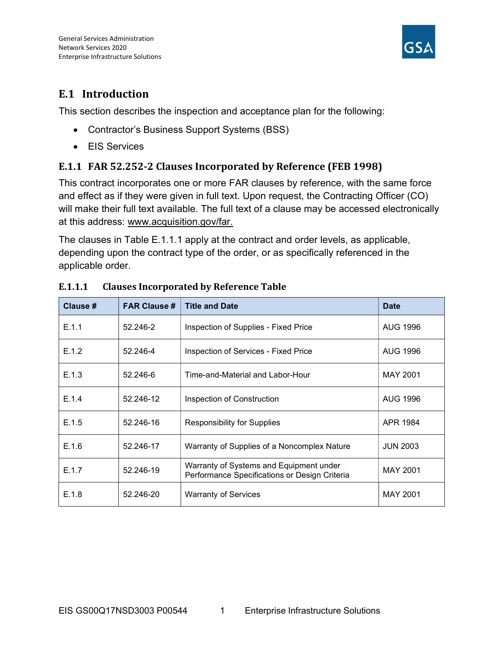

# E.1 Introduction

This section describes the inspection and acceptance plan for the following:

- Contractor's Business Support Systems (BSS)
- EIS Services

# E.1.1 FAR 52.252-2 Clauses Incorporated by Reference (FEB 1998)

This contract incorporates one or more FAR clauses by reference, with the same force and effect as if they were given in full text. Upon request, the Contracting Officer (CO) will make their full text available. The full text of a clause may be accessed electronically at this address: www.acquisition.gov/far.

The clauses in Table E.1.1.1 apply at the contract and order levels, as applicable, depending upon the contract type of the order, or as specifically referenced in the applicable order.

| Clause # | <b>FAR Clause #</b> | <b>Title and Date</b>                                                                    | <b>Date</b>     |
|----------|---------------------|------------------------------------------------------------------------------------------|-----------------|
| E.1.1    | 52.246-2            | Inspection of Supplies - Fixed Price                                                     | <b>AUG 1996</b> |
| E.1.2    | 52.246-4            | Inspection of Services - Fixed Price                                                     | <b>AUG 1996</b> |
| E.1.3    | 52.246-6            | Time-and-Material and Labor-Hour                                                         | MAY 2001        |
| E.1.4    | 52.246-12           | Inspection of Construction                                                               | <b>AUG 1996</b> |
| E.1.5    | 52.246-16           | <b>Responsibility for Supplies</b>                                                       | APR 1984        |
| E.1.6    | 52.246-17           | Warranty of Supplies of a Noncomplex Nature                                              | <b>JUN 2003</b> |
| E.1.7    | 52.246-19           | Warranty of Systems and Equipment under<br>Performance Specifications or Design Criteria | <b>MAY 2001</b> |
| E.1.8    | 52.246-20           | <b>Warranty of Services</b>                                                              | MAY 2001        |

## E.1.1.1 Clauses Incorporated by Reference Table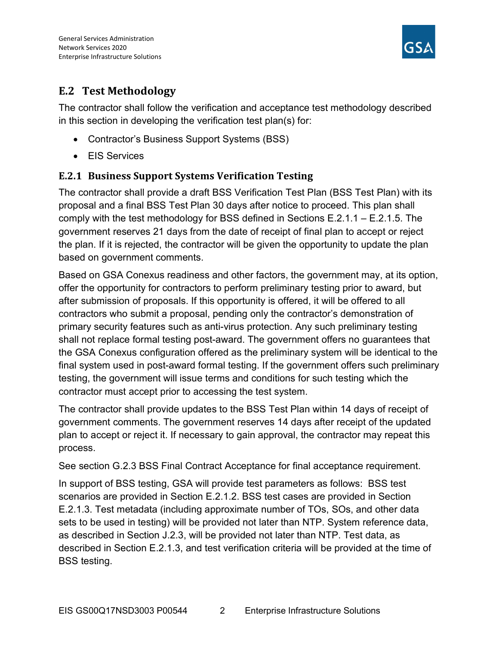

# E.2 Test Methodology

The contractor shall follow the verification and acceptance test methodology described in this section in developing the verification test plan(s) for:

- Contractor's Business Support Systems (BSS)
- EIS Services

# E.2.1 Business Support Systems Verification Testing

The contractor shall provide a draft BSS Verification Test Plan (BSS Test Plan) with its proposal and a final BSS Test Plan 30 days after notice to proceed. This plan shall comply with the test methodology for BSS defined in Sections E.2.1.1 – E.2.1.5. The government reserves 21 days from the date of receipt of final plan to accept or reject the plan. If it is rejected, the contractor will be given the opportunity to update the plan based on government comments.

Based on GSA Conexus readiness and other factors, the government may, at its option, offer the opportunity for contractors to perform preliminary testing prior to award, but after submission of proposals. If this opportunity is offered, it will be offered to all contractors who submit a proposal, pending only the contractor's demonstration of primary security features such as anti-virus protection. Any such preliminary testing shall not replace formal testing post-award. The government offers no guarantees that the GSA Conexus configuration offered as the preliminary system will be identical to the final system used in post-award formal testing. If the government offers such preliminary testing, the government will issue terms and conditions for such testing which the contractor must accept prior to accessing the test system.

The contractor shall provide updates to the BSS Test Plan within 14 days of receipt of government comments. The government reserves 14 days after receipt of the updated plan to accept or reject it. If necessary to gain approval, the contractor may repeat this process.

See section G.2.3 BSS Final Contract Acceptance for final acceptance requirement.

In support of BSS testing, GSA will provide test parameters as follows: BSS test scenarios are provided in Section E.2.1.2. BSS test cases are provided in Section E.2.1.3. Test metadata (including approximate number of TOs, SOs, and other data sets to be used in testing) will be provided not later than NTP. System reference data, as described in Section J.2.3, will be provided not later than NTP. Test data, as described in Section E.2.1.3, and test verification criteria will be provided at the time of BSS testing.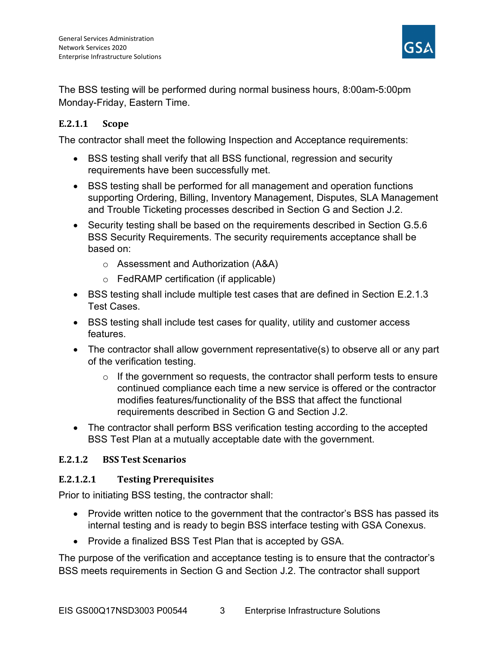

The BSS testing will be performed during normal business hours, 8:00am-5:00pm Monday-Friday, Eastern Time.

## E.2.1.1 Scope

The contractor shall meet the following Inspection and Acceptance requirements:

- BSS testing shall verify that all BSS functional, regression and security requirements have been successfully met.
- BSS testing shall be performed for all management and operation functions supporting Ordering, Billing, Inventory Management, Disputes, SLA Management and Trouble Ticketing processes described in Section G and Section J.2.
- Security testing shall be based on the requirements described in Section G.5.6 BSS Security Requirements. The security requirements acceptance shall be based on:
	- o Assessment and Authorization (A&A)
	- o FedRAMP certification (if applicable)
- BSS testing shall include multiple test cases that are defined in Section E.2.1.3 Test Cases.
- BSS testing shall include test cases for quality, utility and customer access features.
- The contractor shall allow government representative(s) to observe all or any part of the verification testing.
	- $\circ$  If the government so requests, the contractor shall perform tests to ensure continued compliance each time a new service is offered or the contractor modifies features/functionality of the BSS that affect the functional requirements described in Section G and Section J.2.
- The contractor shall perform BSS verification testing according to the accepted BSS Test Plan at a mutually acceptable date with the government.

## E.2.1.2 BSS Test Scenarios

## E.2.1.2.1 Testing Prerequisites

Prior to initiating BSS testing, the contractor shall:

- Provide written notice to the government that the contractor's BSS has passed its internal testing and is ready to begin BSS interface testing with GSA Conexus.
- Provide a finalized BSS Test Plan that is accepted by GSA.

The purpose of the verification and acceptance testing is to ensure that the contractor's BSS meets requirements in Section G and Section J.2. The contractor shall support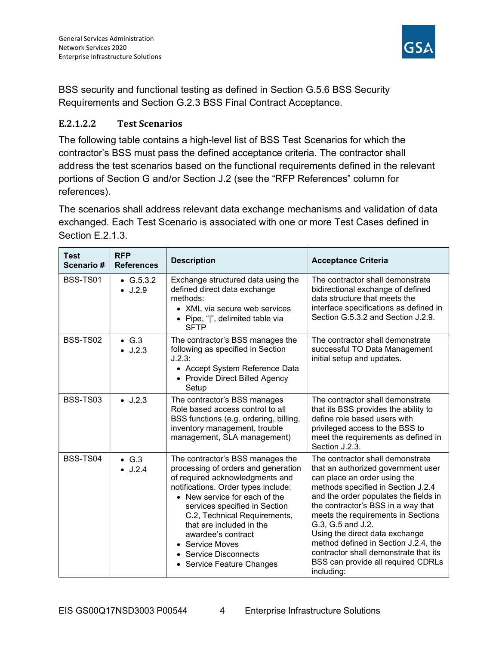

BSS security and functional testing as defined in Section G.5.6 BSS Security Requirements and Section G.2.3 BSS Final Contract Acceptance.

## E.2.1.2.2 Test Scenarios

The following table contains a high-level list of BSS Test Scenarios for which the contractor's BSS must pass the defined acceptance criteria. The contractor shall address the test scenarios based on the functional requirements defined in the relevant portions of Section G and/or Section J.2 (see the "RFP References" column for references).

The scenarios shall address relevant data exchange mechanisms and validation of data exchanged. Each Test Scenario is associated with one or more Test Cases defined in Section E.2.1.3.

| <b>Test</b><br>Scenario# | <b>RFP</b><br><b>References</b>  | <b>Description</b>                                                                                                                                                                                                                                                                                                                                                             | <b>Acceptance Criteria</b>                                                                                                                                                                                                                                                                                                                                                                                                                                    |
|--------------------------|----------------------------------|--------------------------------------------------------------------------------------------------------------------------------------------------------------------------------------------------------------------------------------------------------------------------------------------------------------------------------------------------------------------------------|---------------------------------------------------------------------------------------------------------------------------------------------------------------------------------------------------------------------------------------------------------------------------------------------------------------------------------------------------------------------------------------------------------------------------------------------------------------|
| BSS-TS01                 | • $G.5.3.2$<br>$\bullet$ J.2.9   | Exchange structured data using the<br>defined direct data exchange<br>methods:<br>• XML via secure web services<br>• Pipe, " ", delimited table via<br><b>SFTP</b>                                                                                                                                                                                                             | The contractor shall demonstrate<br>bidirectional exchange of defined<br>data structure that meets the<br>interface specifications as defined in<br>Section G.5.3.2 and Section J.2.9.                                                                                                                                                                                                                                                                        |
| <b>BSS-TS02</b>          | $\bullet$ G.3<br>$\bullet$ J.2.3 | The contractor's BSS manages the<br>following as specified in Section<br>J.2.3:<br>• Accept System Reference Data<br>• Provide Direct Billed Agency<br>Setup                                                                                                                                                                                                                   | The contractor shall demonstrate<br>successful TO Data Management<br>initial setup and updates.                                                                                                                                                                                                                                                                                                                                                               |
| BSS-TS03                 | $\bullet$ J.2.3                  | The contractor's BSS manages<br>Role based access control to all<br>BSS functions (e.g. ordering, billing,<br>inventory management, trouble<br>management, SLA management)                                                                                                                                                                                                     | The contractor shall demonstrate<br>that its BSS provides the ability to<br>define role based users with<br>privileged access to the BSS to<br>meet the requirements as defined in<br>Section J.2.3.                                                                                                                                                                                                                                                          |
| BSS-TS04                 | $\bullet$ G.3<br>$\bullet$ J.2.4 | The contractor's BSS manages the<br>processing of orders and generation<br>of required acknowledgments and<br>notifications. Order types include:<br>• New service for each of the<br>services specified in Section<br>C.2, Technical Requirements,<br>that are included in the<br>awardee's contract<br>• Service Moves<br>• Service Disconnects<br>• Service Feature Changes | The contractor shall demonstrate<br>that an authorized government user<br>can place an order using the<br>methods specified in Section J.2.4<br>and the order populates the fields in<br>the contractor's BSS in a way that<br>meets the requirements in Sections<br>G.3, G.5 and J.2.<br>Using the direct data exchange<br>method defined in Section J.2.4, the<br>contractor shall demonstrate that its<br>BSS can provide all required CDRLs<br>including: |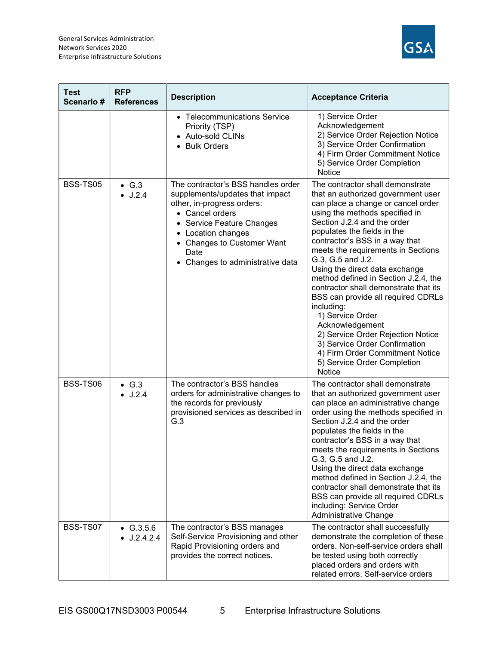

| <b>Test</b><br>Scenario# | <b>RFP</b><br><b>References</b>  | <b>Description</b>                                                                                                                                                                                                                                  | <b>Acceptance Criteria</b>                                                                                                                                                                                                                                                                                                                                                                                                                                                                                                                                                                                                                                                       |
|--------------------------|----------------------------------|-----------------------------------------------------------------------------------------------------------------------------------------------------------------------------------------------------------------------------------------------------|----------------------------------------------------------------------------------------------------------------------------------------------------------------------------------------------------------------------------------------------------------------------------------------------------------------------------------------------------------------------------------------------------------------------------------------------------------------------------------------------------------------------------------------------------------------------------------------------------------------------------------------------------------------------------------|
|                          |                                  | • Telecommunications Service<br>Priority (TSP)<br>• Auto-sold CLINs<br>• Bulk Orders                                                                                                                                                                | 1) Service Order<br>Acknowledgement<br>2) Service Order Rejection Notice<br>3) Service Order Confirmation<br>4) Firm Order Commitment Notice<br>5) Service Order Completion<br>Notice                                                                                                                                                                                                                                                                                                                                                                                                                                                                                            |
| BSS-TS05                 | $\bullet$ G.3<br>J.2.4           | The contractor's BSS handles order<br>supplements/updates that impact<br>other, in-progress orders:<br>• Cancel orders<br>• Service Feature Changes<br>• Location changes<br>• Changes to Customer Want<br>Date<br>• Changes to administrative data | The contractor shall demonstrate<br>that an authorized government user<br>can place a change or cancel order<br>using the methods specified in<br>Section J.2.4 and the order<br>populates the fields in the<br>contractor's BSS in a way that<br>meets the requirements in Sections<br>G.3, G.5 and J.2.<br>Using the direct data exchange<br>method defined in Section J.2.4, the<br>contractor shall demonstrate that its<br>BSS can provide all required CDRLs<br>including:<br>1) Service Order<br>Acknowledgement<br>2) Service Order Rejection Notice<br>3) Service Order Confirmation<br>4) Firm Order Commitment Notice<br>5) Service Order Completion<br><b>Notice</b> |
| BSS-TS06                 | $\bullet$ G.3<br>$\bullet$ J.2.4 | The contractor's BSS handles<br>orders for administrative changes to<br>the records for previously<br>provisioned services as described in<br>G.3                                                                                                   | The contractor shall demonstrate<br>that an authorized government user<br>can place an administrative change<br>order using the methods specified in<br>Section J.2.4 and the order<br>populates the fields in the<br>contractor's BSS in a way that<br>meets the requirements in Sections<br>G.3, G.5 and J.2.<br>Using the direct data exchange<br>method defined in Section J.2.4, the<br>contractor shall demonstrate that its<br>BSS can provide all required CDRLs<br>including: Service Order<br>Administrative Change                                                                                                                                                    |
| BSS-TS07                 | $\bullet$ G.3.5.6<br>J.2.4.2.4   | The contractor's BSS manages<br>Self-Service Provisioning and other<br>Rapid Provisioning orders and<br>provides the correct notices.                                                                                                               | The contractor shall successfully<br>demonstrate the completion of these<br>orders. Non-self-service orders shall<br>be tested using both correctly<br>placed orders and orders with<br>related errors. Self-service orders                                                                                                                                                                                                                                                                                                                                                                                                                                                      |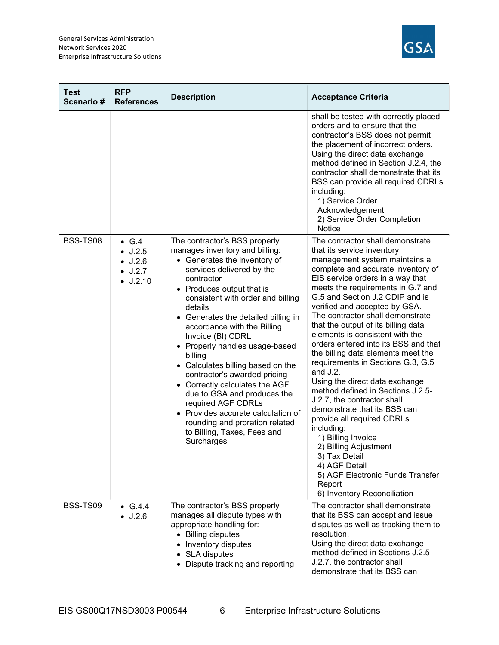

| <b>Test</b><br>Scenario# | <b>RFP</b><br><b>References</b>                                                            | <b>Description</b>                                                                                                                                                                                                                                                                                                                                                                                                                                                                                                                                                                                                                               | <b>Acceptance Criteria</b>                                                                                                                                                                                                                                                                                                                                                                                                                                                                                                                                                                                                                                                                                                                                                                                                                                                      |
|--------------------------|--------------------------------------------------------------------------------------------|--------------------------------------------------------------------------------------------------------------------------------------------------------------------------------------------------------------------------------------------------------------------------------------------------------------------------------------------------------------------------------------------------------------------------------------------------------------------------------------------------------------------------------------------------------------------------------------------------------------------------------------------------|---------------------------------------------------------------------------------------------------------------------------------------------------------------------------------------------------------------------------------------------------------------------------------------------------------------------------------------------------------------------------------------------------------------------------------------------------------------------------------------------------------------------------------------------------------------------------------------------------------------------------------------------------------------------------------------------------------------------------------------------------------------------------------------------------------------------------------------------------------------------------------|
|                          |                                                                                            |                                                                                                                                                                                                                                                                                                                                                                                                                                                                                                                                                                                                                                                  | shall be tested with correctly placed<br>orders and to ensure that the<br>contractor's BSS does not permit<br>the placement of incorrect orders.<br>Using the direct data exchange<br>method defined in Section J.2.4, the<br>contractor shall demonstrate that its<br>BSS can provide all required CDRLs<br>including:<br>1) Service Order<br>Acknowledgement<br>2) Service Order Completion<br><b>Notice</b>                                                                                                                                                                                                                                                                                                                                                                                                                                                                  |
| BSS-TS08                 | $\bullet$ G.4<br>$\bullet$ J.2.5<br>$\bullet$ J.2.6<br>$\bullet$ J.2.7<br>$\bullet$ J.2.10 | The contractor's BSS properly<br>manages inventory and billing:<br>• Generates the inventory of<br>services delivered by the<br>contractor<br>• Produces output that is<br>consistent with order and billing<br>details<br>• Generates the detailed billing in<br>accordance with the Billing<br>Invoice (BI) CDRL<br>• Properly handles usage-based<br>billing<br>• Calculates billing based on the<br>contractor's awarded pricing<br>• Correctly calculates the AGF<br>due to GSA and produces the<br>required AGF CDRLs<br>• Provides accurate calculation of<br>rounding and proration related<br>to Billing, Taxes, Fees and<br>Surcharges | The contractor shall demonstrate<br>that its service inventory<br>management system maintains a<br>complete and accurate inventory of<br>EIS service orders in a way that<br>meets the requirements in G.7 and<br>G.5 and Section J.2 CDIP and is<br>verified and accepted by GSA.<br>The contractor shall demonstrate<br>that the output of its billing data<br>elements is consistent with the<br>orders entered into its BSS and that<br>the billing data elements meet the<br>requirements in Sections G.3, G.5<br>and J.2.<br>Using the direct data exchange<br>method defined in Sections J.2.5-<br>J.2.7, the contractor shall<br>demonstrate that its BSS can<br>provide all required CDRLs<br>including:<br>1) Billing Invoice<br>2) Billing Adjustment<br>3) Tax Detail<br>4) AGF Detail<br>5) AGF Electronic Funds Transfer<br>Report<br>6) Inventory Reconciliation |
| BSS-TS09                 | • $G.4.4$<br>$\bullet$ J.2.6                                                               | The contractor's BSS properly<br>manages all dispute types with<br>appropriate handling for:<br>• Billing disputes<br>Inventory disputes<br>• SLA disputes<br>• Dispute tracking and reporting                                                                                                                                                                                                                                                                                                                                                                                                                                                   | The contractor shall demonstrate<br>that its BSS can accept and issue<br>disputes as well as tracking them to<br>resolution.<br>Using the direct data exchange<br>method defined in Sections J.2.5-<br>J.2.7, the contractor shall<br>demonstrate that its BSS can                                                                                                                                                                                                                                                                                                                                                                                                                                                                                                                                                                                                              |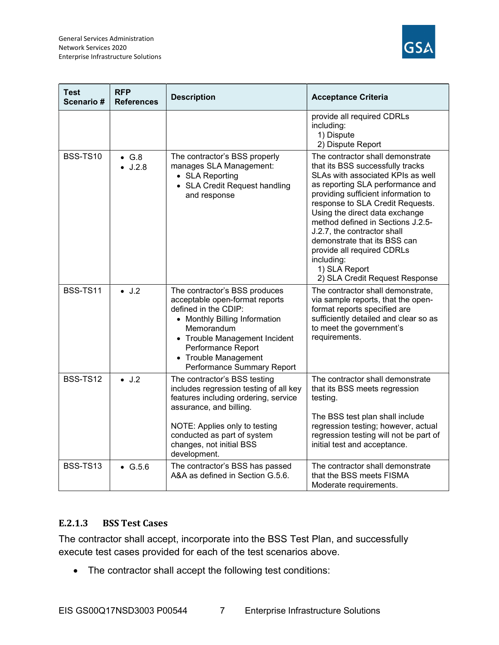

| <b>Test</b><br><b>Scenario</b> # | <b>RFP</b><br><b>References</b>  | <b>Description</b>                                                                                                                                                                                                                                    | <b>Acceptance Criteria</b>                                                                                                                                                                                                                                                                                                                                                                                                                                    |
|----------------------------------|----------------------------------|-------------------------------------------------------------------------------------------------------------------------------------------------------------------------------------------------------------------------------------------------------|---------------------------------------------------------------------------------------------------------------------------------------------------------------------------------------------------------------------------------------------------------------------------------------------------------------------------------------------------------------------------------------------------------------------------------------------------------------|
|                                  |                                  |                                                                                                                                                                                                                                                       | provide all required CDRLs<br>including:<br>1) Dispute<br>2) Dispute Report                                                                                                                                                                                                                                                                                                                                                                                   |
| <b>BSS-TS10</b>                  | $\bullet$ G.8<br>$\bullet$ J.2.8 | The contractor's BSS properly<br>manages SLA Management:<br>• SLA Reporting<br>• SLA Credit Request handling<br>and response                                                                                                                          | The contractor shall demonstrate<br>that its BSS successfully tracks<br>SLAs with associated KPIs as well<br>as reporting SLA performance and<br>providing sufficient information to<br>response to SLA Credit Requests.<br>Using the direct data exchange<br>method defined in Sections J.2.5-<br>J.2.7, the contractor shall<br>demonstrate that its BSS can<br>provide all required CDRLs<br>including:<br>1) SLA Report<br>2) SLA Credit Request Response |
| BSS-TS11                         | $\bullet$ J.2                    | The contractor's BSS produces<br>acceptable open-format reports<br>defined in the CDIP:<br>• Monthly Billing Information<br>Memorandum<br>• Trouble Management Incident<br>Performance Report<br>• Trouble Management<br>Performance Summary Report   | The contractor shall demonstrate,<br>via sample reports, that the open-<br>format reports specified are<br>sufficiently detailed and clear so as<br>to meet the government's<br>requirements.                                                                                                                                                                                                                                                                 |
| <b>BSS-TS12</b>                  | $\bullet$ J.2                    | The contractor's BSS testing<br>includes regression testing of all key<br>features including ordering, service<br>assurance, and billing.<br>NOTE: Applies only to testing<br>conducted as part of system<br>changes, not initial BSS<br>development. | The contractor shall demonstrate<br>that its BSS meets regression<br>testing.<br>The BSS test plan shall include<br>regression testing; however, actual<br>regression testing will not be part of<br>initial test and acceptance.                                                                                                                                                                                                                             |
| BSS-TS13                         | $\bullet$ G.5.6                  | The contractor's BSS has passed<br>A&A as defined in Section G.5.6.                                                                                                                                                                                   | The contractor shall demonstrate<br>that the BSS meets FISMA<br>Moderate requirements.                                                                                                                                                                                                                                                                                                                                                                        |

## E.2.1.3 BSS Test Cases

The contractor shall accept, incorporate into the BSS Test Plan, and successfully execute test cases provided for each of the test scenarios above.

The contractor shall accept the following test conditions: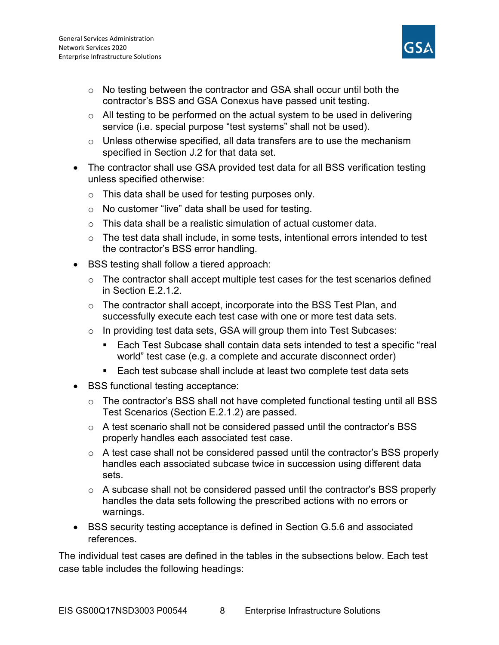

- o No testing between the contractor and GSA shall occur until both the contractor's BSS and GSA Conexus have passed unit testing.
- $\circ$  All testing to be performed on the actual system to be used in delivering service (i.e. special purpose "test systems" shall not be used).
- o Unless otherwise specified, all data transfers are to use the mechanism specified in Section J.2 for that data set.
- The contractor shall use GSA provided test data for all BSS verification testing unless specified otherwise:
	- o This data shall be used for testing purposes only.
	- o No customer "live" data shall be used for testing.
	- $\circ$  This data shall be a realistic simulation of actual customer data.
	- $\circ$  The test data shall include, in some tests, intentional errors intended to test the contractor's BSS error handling.
- BSS testing shall follow a tiered approach:
	- $\circ$  The contractor shall accept multiple test cases for the test scenarios defined in Section E.2.1.2.
	- o The contractor shall accept, incorporate into the BSS Test Plan, and successfully execute each test case with one or more test data sets.
	- o In providing test data sets, GSA will group them into Test Subcases:
		- Each Test Subcase shall contain data sets intended to test a specific "real world" test case (e.g. a complete and accurate disconnect order)
		- Each test subcase shall include at least two complete test data sets
- BSS functional testing acceptance:
	- o The contractor's BSS shall not have completed functional testing until all BSS Test Scenarios (Section E.2.1.2) are passed.
	- o A test scenario shall not be considered passed until the contractor's BSS properly handles each associated test case.
	- o A test case shall not be considered passed until the contractor's BSS properly handles each associated subcase twice in succession using different data sets.
	- o A subcase shall not be considered passed until the contractor's BSS properly handles the data sets following the prescribed actions with no errors or warnings.
- BSS security testing acceptance is defined in Section G.5.6 and associated references.

The individual test cases are defined in the tables in the subsections below. Each test case table includes the following headings: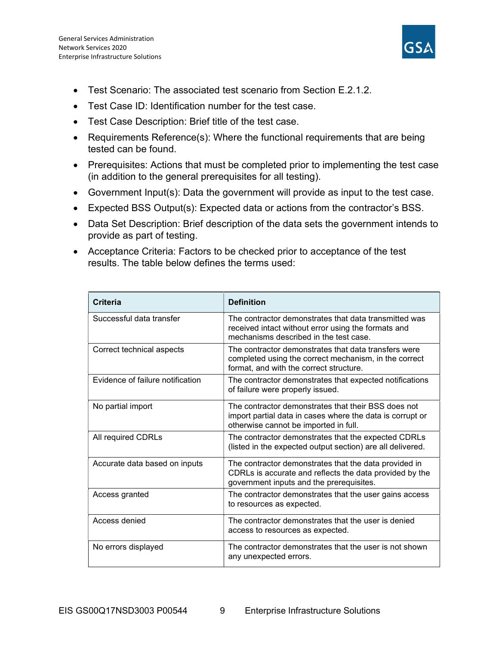

- Test Scenario: The associated test scenario from Section E.2.1.2.
- Test Case ID: Identification number for the test case.
- Test Case Description: Brief title of the test case.
- Requirements Reference(s): Where the functional requirements that are being tested can be found.
- Prerequisites: Actions that must be completed prior to implementing the test case (in addition to the general prerequisites for all testing).
- Government Input(s): Data the government will provide as input to the test case.
- Expected BSS Output(s): Expected data or actions from the contractor's BSS.
- Data Set Description: Brief description of the data sets the government intends to provide as part of testing.
- Acceptance Criteria: Factors to be checked prior to acceptance of the test results. The table below defines the terms used:

| Criteria                         | <b>Definition</b>                                                                                                                                            |
|----------------------------------|--------------------------------------------------------------------------------------------------------------------------------------------------------------|
| Successful data transfer         | The contractor demonstrates that data transmitted was<br>received intact without error using the formats and<br>mechanisms described in the test case.       |
| Correct technical aspects        | The contractor demonstrates that data transfers were<br>completed using the correct mechanism, in the correct<br>format, and with the correct structure.     |
| Evidence of failure notification | The contractor demonstrates that expected notifications<br>of failure were properly issued.                                                                  |
| No partial import                | The contractor demonstrates that their BSS does not<br>import partial data in cases where the data is corrupt or<br>otherwise cannot be imported in full.    |
| All required CDRLs               | The contractor demonstrates that the expected CDRLs<br>(listed in the expected output section) are all delivered.                                            |
| Accurate data based on inputs    | The contractor demonstrates that the data provided in<br>CDRLs is accurate and reflects the data provided by the<br>government inputs and the prerequisites. |
| Access granted                   | The contractor demonstrates that the user gains access<br>to resources as expected.                                                                          |
| Access denied                    | The contractor demonstrates that the user is denied<br>access to resources as expected.                                                                      |
| No errors displayed              | The contractor demonstrates that the user is not shown<br>any unexpected errors.                                                                             |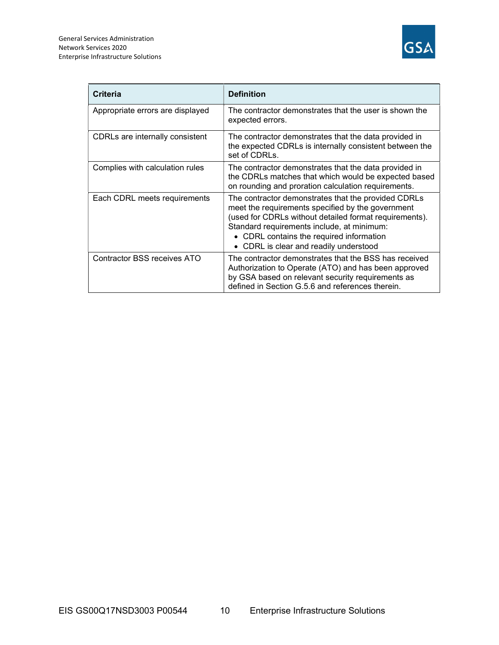

| <b>Criteria</b>                  | <b>Definition</b>                                                                                                                                                                                                                                                                                      |
|----------------------------------|--------------------------------------------------------------------------------------------------------------------------------------------------------------------------------------------------------------------------------------------------------------------------------------------------------|
| Appropriate errors are displayed | The contractor demonstrates that the user is shown the<br>expected errors.                                                                                                                                                                                                                             |
| CDRLs are internally consistent  | The contractor demonstrates that the data provided in<br>the expected CDRLs is internally consistent between the<br>set of CDRLs.                                                                                                                                                                      |
| Complies with calculation rules  | The contractor demonstrates that the data provided in<br>the CDRLs matches that which would be expected based<br>on rounding and proration calculation requirements.                                                                                                                                   |
| Each CDRL meets requirements     | The contractor demonstrates that the provided CDRLs<br>meet the requirements specified by the government<br>(used for CDRLs without detailed format requirements).<br>Standard requirements include, at minimum:<br>• CDRL contains the required information<br>• CDRL is clear and readily understood |
| Contractor BSS receives ATO      | The contractor demonstrates that the BSS has received<br>Authorization to Operate (ATO) and has been approved<br>by GSA based on relevant security requirements as<br>defined in Section G.5.6 and references therein.                                                                                 |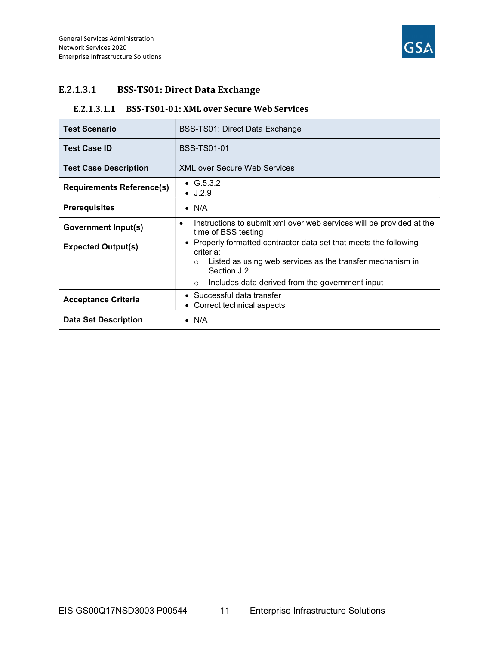

## E.2.1.3.1 BSS-TS01: Direct Data Exchange

#### E.2.1.3.1.1 BSS-TS01-01: XML over Secure Web Services

| <b>Test Scenario</b>             | BSS-TS01: Direct Data Exchange                                                                                                                                        |
|----------------------------------|-----------------------------------------------------------------------------------------------------------------------------------------------------------------------|
| <b>Test Case ID</b>              | <b>BSS-TS01-01</b>                                                                                                                                                    |
| <b>Test Case Description</b>     | <b>XML over Secure Web Services</b>                                                                                                                                   |
| <b>Requirements Reference(s)</b> | • $G.5.3.2$<br>$\bullet$ J.2.9                                                                                                                                        |
| <b>Prerequisites</b>             | $\bullet$ N/A                                                                                                                                                         |
| <b>Government Input(s)</b>       | Instructions to submit xml over web services will be provided at the<br>٠<br>time of BSS testing                                                                      |
| <b>Expected Output(s)</b>        | • Properly formatted contractor data set that meets the following<br>criteria:<br>Listed as using web services as the transfer mechanism in<br>$\circ$<br>Section J.2 |
|                                  | Includes data derived from the government input<br>$\circ$                                                                                                            |
| <b>Acceptance Criteria</b>       | • Successful data transfer<br>• Correct technical aspects                                                                                                             |
| <b>Data Set Description</b>      | $\bullet$ N/A                                                                                                                                                         |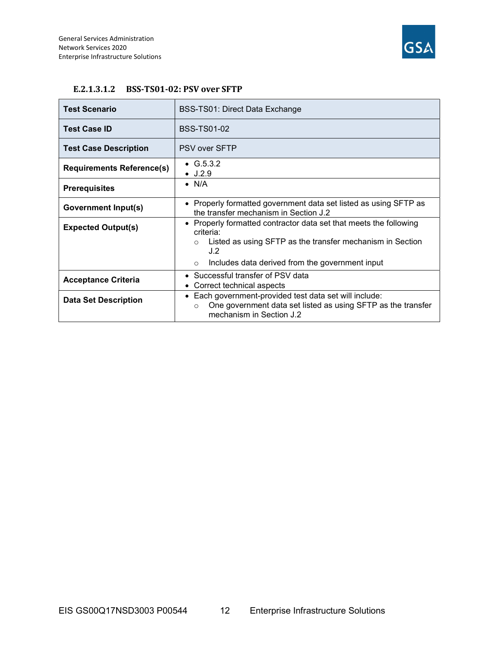

| <b>Test Scenario</b>             | BSS-TS01: Direct Data Exchange                                                                                                                                           |  |
|----------------------------------|--------------------------------------------------------------------------------------------------------------------------------------------------------------------------|--|
| <b>Test Case ID</b>              | <b>BSS-TS01-02</b>                                                                                                                                                       |  |
| <b>Test Case Description</b>     | PSV over SFTP                                                                                                                                                            |  |
| <b>Requirements Reference(s)</b> | • $G.5.3.2$<br>$\bullet$ J.2.9                                                                                                                                           |  |
| <b>Prerequisites</b>             | $\bullet$ N/A                                                                                                                                                            |  |
| Government Input(s)              | • Properly formatted government data set listed as using SFTP as<br>the transfer mechanism in Section J.2                                                                |  |
| <b>Expected Output(s)</b>        | • Properly formatted contractor data set that meets the following<br>criteria:<br>Listed as using SFTP as the transfer mechanism in Section<br>$\circ$                   |  |
|                                  | J.2<br>Includes data derived from the government input<br>$\circ$                                                                                                        |  |
| <b>Acceptance Criteria</b>       | • Successful transfer of PSV data<br>Correct technical aspects                                                                                                           |  |
| <b>Data Set Description</b>      | Each government-provided test data set will include:<br>$\bullet$<br>One government data set listed as using SFTP as the transfer<br>$\circ$<br>mechanism in Section J.2 |  |

#### E.2.1.3.1.2 BSS-TS01-02: PSV over SFTP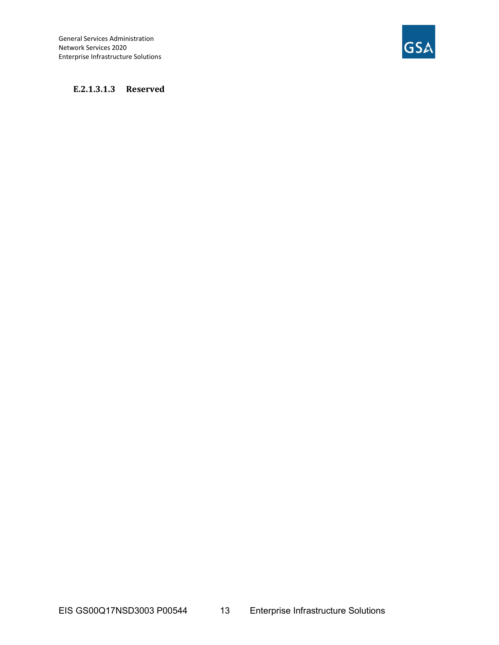General Services Administration Network Services 2020 Enterprise Infrastructure Solutions



#### E.2.1.3.1.3 Reserved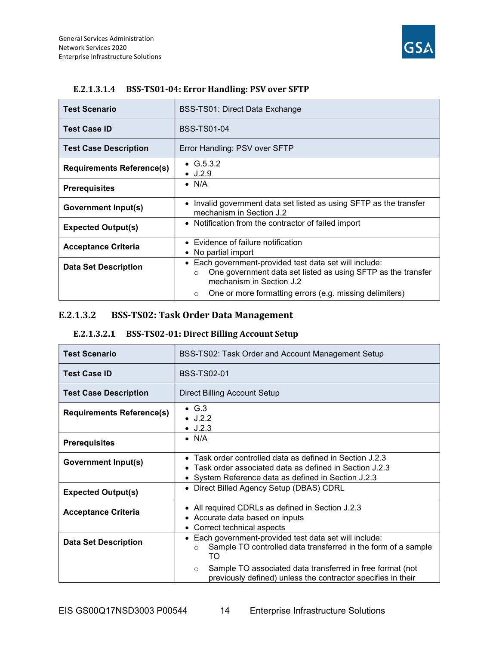

| <b>Test Scenario</b>             | BSS-TS01: Direct Data Exchange                                                                                                                                           |
|----------------------------------|--------------------------------------------------------------------------------------------------------------------------------------------------------------------------|
| <b>Test Case ID</b>              | <b>BSS-TS01-04</b>                                                                                                                                                       |
| <b>Test Case Description</b>     | Error Handling: PSV over SFTP                                                                                                                                            |
| <b>Requirements Reference(s)</b> | • $G.5.3.2$<br>$\bullet$ J.2.9                                                                                                                                           |
| <b>Prerequisites</b>             | $\bullet$ N/A                                                                                                                                                            |
| Government Input(s)              | Invalid government data set listed as using SFTP as the transfer<br>mechanism in Section J.2                                                                             |
| <b>Expected Output(s)</b>        | • Notification from the contractor of failed import                                                                                                                      |
| <b>Acceptance Criteria</b>       | • Evidence of failure notification<br>• No partial import                                                                                                                |
| <b>Data Set Description</b>      | Each government-provided test data set will include:<br>$\bullet$<br>One government data set listed as using SFTP as the transfer<br>$\circ$<br>mechanism in Section J.2 |
|                                  | One or more formatting errors (e.g. missing delimiters)<br>$\circ$                                                                                                       |

## E.2.1.3.1.4 BSS-TS01-04: Error Handling: PSV over SFTP

## E.2.1.3.2 BSS-TS02: Task Order Data Management

#### E.2.1.3.2.1 BSS-TS02-01: Direct Billing Account Setup

| <b>Test Scenario</b>             | BSS-TS02: Task Order and Account Management Setup                                                                                                                           |
|----------------------------------|-----------------------------------------------------------------------------------------------------------------------------------------------------------------------------|
| <b>Test Case ID</b>              | <b>BSS-TS02-01</b>                                                                                                                                                          |
| <b>Test Case Description</b>     | Direct Billing Account Setup                                                                                                                                                |
| <b>Requirements Reference(s)</b> | $\bullet$ G.3<br>$\bullet$ J.2.2<br>$\bullet$ J.2.3                                                                                                                         |
| <b>Prerequisites</b>             | $\bullet$ N/A                                                                                                                                                               |
| Government Input(s)              | • Task order controlled data as defined in Section J.2.3<br>• Task order associated data as defined in Section J.2.3<br>• System Reference data as defined in Section J.2.3 |
| <b>Expected Output(s)</b>        | Direct Billed Agency Setup (DBAS) CDRL<br>$\bullet$                                                                                                                         |
| <b>Acceptance Criteria</b>       | • All required CDRLs as defined in Section J.2.3<br>• Accurate data based on inputs<br>Correct technical aspects<br>$\bullet$                                               |
| <b>Data Set Description</b>      | Each government-provided test data set will include:<br>$\bullet$<br>Sample TO controlled data transferred in the form of a sample<br>$\circ$<br>TO                         |
|                                  | Sample TO associated data transferred in free format (not<br>$\circ$<br>previously defined) unless the contractor specifies in their                                        |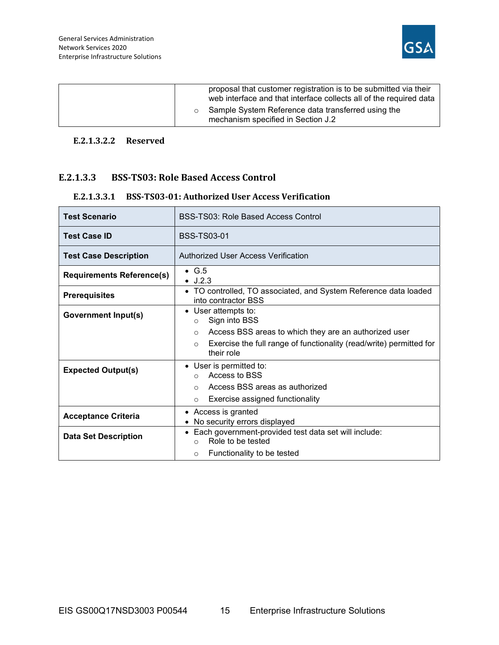

| proposal that customer registration is to be submitted via their<br>web interface and that interface collects all of the required data |
|----------------------------------------------------------------------------------------------------------------------------------------|
| Sample System Reference data transferred using the<br>mechanism specified in Section J.2                                               |

#### E.2.1.3.2.2 Reserved

## E.2.1.3.3 BSS-TS03: Role Based Access Control

| E.2.1.3.3.1 BSS-TS03-01: Authorized User Access Verification |
|--------------------------------------------------------------|
|--------------------------------------------------------------|

| <b>Test Scenario</b>             | BSS-TS03: Role Based Access Control                                                          |
|----------------------------------|----------------------------------------------------------------------------------------------|
| <b>Test Case ID</b>              | <b>BSS-TS03-01</b>                                                                           |
| <b>Test Case Description</b>     | Authorized User Access Verification                                                          |
| <b>Requirements Reference(s)</b> | $\bullet$ G.5<br>$\bullet$ J.2.3                                                             |
| <b>Prerequisites</b>             | • TO controlled, TO associated, and System Reference data loaded<br>into contractor BSS      |
| <b>Government Input(s)</b>       | • User attempts to:<br>Sign into BSS<br>$\circ$                                              |
|                                  | Access BSS areas to which they are an authorized user<br>$\circ$                             |
|                                  | Exercise the full range of functionality (read/write) permitted for<br>$\circ$<br>their role |
| <b>Expected Output(s)</b>        | • User is permitted to:<br>Access to BSS<br>$\cap$                                           |
|                                  | Access BSS areas as authorized<br>$\circ$                                                    |
|                                  | Exercise assigned functionality<br>$\circ$                                                   |
| <b>Acceptance Criteria</b>       | • Access is granted<br>• No security errors displayed                                        |
| <b>Data Set Description</b>      | • Each government-provided test data set will include:<br>Role to be tested<br>$\cap$        |
|                                  | Functionality to be tested<br>$\circ$                                                        |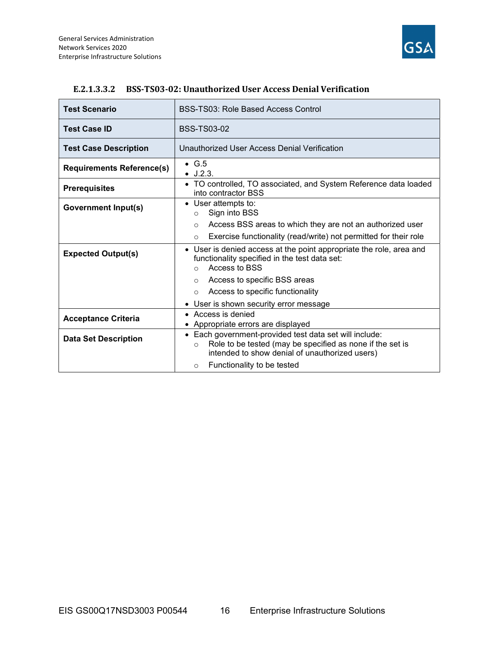

| <b>Test Scenario</b>             | BSS-TS03: Role Based Access Control                                                                                                                                              |
|----------------------------------|----------------------------------------------------------------------------------------------------------------------------------------------------------------------------------|
| <b>Test Case ID</b>              | <b>BSS-TS03-02</b>                                                                                                                                                               |
| <b>Test Case Description</b>     | Unauthorized User Access Denial Verification                                                                                                                                     |
| <b>Requirements Reference(s)</b> | $\bullet$ G.5<br>$\bullet$ J.2.3.                                                                                                                                                |
| <b>Prerequisites</b>             | • TO controlled, TO associated, and System Reference data loaded<br>into contractor BSS                                                                                          |
| <b>Government Input(s)</b>       | • User attempts to:<br>Sign into BSS<br>$\circ$                                                                                                                                  |
|                                  | Access BSS areas to which they are not an authorized user<br>$\circ$                                                                                                             |
|                                  | Exercise functionality (read/write) not permitted for their role<br>$\Omega$                                                                                                     |
| <b>Expected Output(s)</b>        | • User is denied access at the point appropriate the role, area and<br>functionality specified in the test data set:<br>Access to BSS<br>$\Omega$                                |
|                                  | Access to specific BSS areas<br>$\circ$                                                                                                                                          |
|                                  | Access to specific functionality<br>$\circ$                                                                                                                                      |
|                                  | • User is shown security error message                                                                                                                                           |
| <b>Acceptance Criteria</b>       | • Access is denied                                                                                                                                                               |
|                                  | • Appropriate errors are displayed                                                                                                                                               |
| <b>Data Set Description</b>      | • Each government-provided test data set will include:<br>Role to be tested (may be specified as none if the set is<br>$\circ$<br>intended to show denial of unauthorized users) |
|                                  | Functionality to be tested<br>$\circ$                                                                                                                                            |

#### E.2.1.3.3.2 BSS-TS03-02: Unauthorized User Access Denial Verification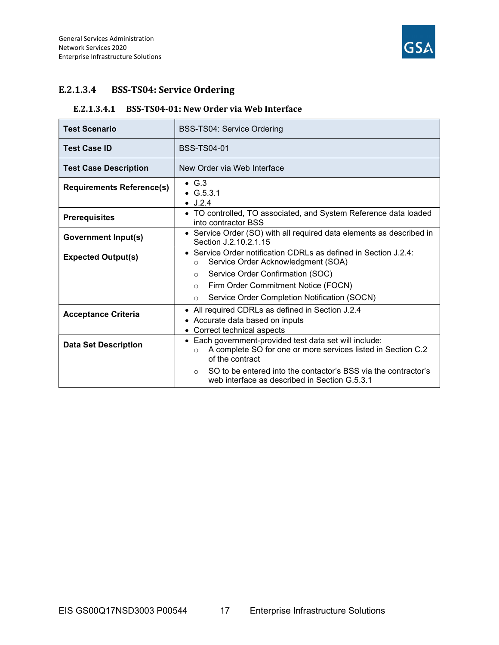

## E.2.1.3.4 BSS-TS04: Service Ordering

#### E.2.1.3.4.1 BSS-TS04-01: New Order via Web Interface

| <b>Test Scenario</b>             | <b>BSS-TS04: Service Ordering</b>                                                                                                                     |
|----------------------------------|-------------------------------------------------------------------------------------------------------------------------------------------------------|
| <b>Test Case ID</b>              | <b>BSS-TS04-01</b>                                                                                                                                    |
| <b>Test Case Description</b>     | New Order via Web Interface                                                                                                                           |
| <b>Requirements Reference(s)</b> | $\bullet$ G.3<br>$\bullet$ G.5.3.1<br>$\bullet$ J.2.4                                                                                                 |
| <b>Prerequisites</b>             | • TO controlled, TO associated, and System Reference data loaded<br>into contractor BSS                                                               |
| <b>Government Input(s)</b>       | • Service Order (SO) with all required data elements as described in<br>Section J.2.10.2.1.15                                                         |
| <b>Expected Output(s)</b>        | • Service Order notification CDRLs as defined in Section J.2.4:<br>Service Order Acknowledgment (SOA)<br>$\circ$                                      |
|                                  | Service Order Confirmation (SOC)<br>$\circ$                                                                                                           |
|                                  | Firm Order Commitment Notice (FOCN)<br>$\circ$                                                                                                        |
|                                  | Service Order Completion Notification (SOCN)<br>$\Omega$                                                                                              |
| <b>Acceptance Criteria</b>       | • All required CDRLs as defined in Section J.2.4<br>• Accurate data based on inputs<br>• Correct technical aspects                                    |
| <b>Data Set Description</b>      | • Each government-provided test data set will include:<br>A complete SO for one or more services listed in Section C.2<br>$\Omega$<br>of the contract |
|                                  | SO to be entered into the contactor's BSS via the contractor's<br>$\circ$<br>web interface as described in Section G.5.3.1                            |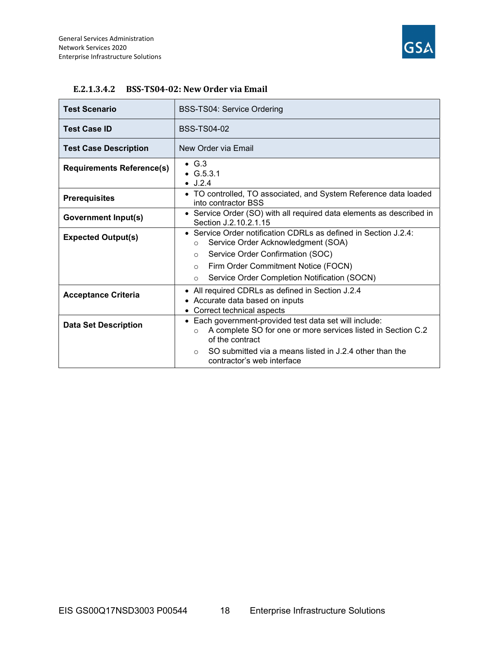

| <b>Test Scenario</b>             | BSS-TS04: Service Ordering                                                                                                                           |
|----------------------------------|------------------------------------------------------------------------------------------------------------------------------------------------------|
| <b>Test Case ID</b>              | <b>BSS-TS04-02</b>                                                                                                                                   |
| <b>Test Case Description</b>     | New Order via Email                                                                                                                                  |
| <b>Requirements Reference(s)</b> | $\bullet$ G.3<br>• $G.5.3.1$<br>J.2.4                                                                                                                |
| <b>Prerequisites</b>             | • TO controlled, TO associated, and System Reference data loaded<br>into contractor BSS                                                              |
| <b>Government Input(s)</b>       | • Service Order (SO) with all required data elements as described in<br>Section J.2.10.2.1.15                                                        |
| <b>Expected Output(s)</b>        | • Service Order notification CDRLs as defined in Section J.2.4:<br>Service Order Acknowledgment (SOA)<br>O                                           |
|                                  | Service Order Confirmation (SOC)<br>$\circ$                                                                                                          |
|                                  | Firm Order Commitment Notice (FOCN)<br>$\circ$                                                                                                       |
|                                  | Service Order Completion Notification (SOCN)<br>$\circ$                                                                                              |
| <b>Acceptance Criteria</b>       | • All required CDRLs as defined in Section J.2.4<br>• Accurate data based on inputs<br>• Correct technical aspects                                   |
| <b>Data Set Description</b>      | • Each government-provided test data set will include:<br>A complete SO for one or more services listed in Section C.2<br>$\circ$<br>of the contract |
|                                  | SO submitted via a means listed in J.2.4 other than the<br>$\cap$<br>contractor's web interface                                                      |

#### E.2.1.3.4.2 BSS-TS04-02: New Order via Email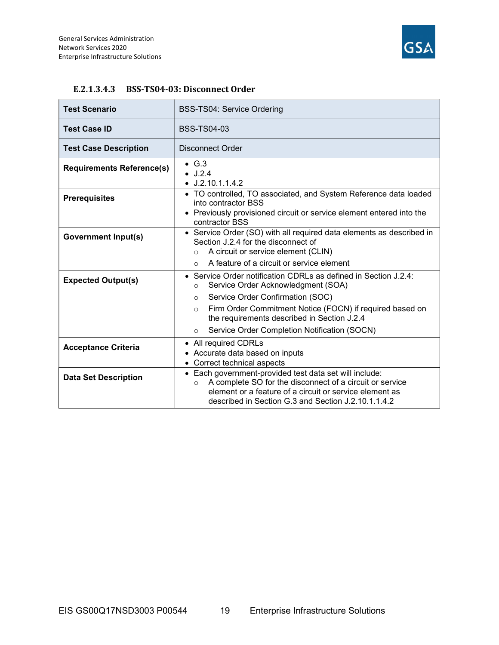

| <b>Test Scenario</b>             | BSS-TS04: Service Ordering                                                                                                                                                                                                                      |
|----------------------------------|-------------------------------------------------------------------------------------------------------------------------------------------------------------------------------------------------------------------------------------------------|
| <b>Test Case ID</b>              | <b>BSS-TS04-03</b>                                                                                                                                                                                                                              |
| <b>Test Case Description</b>     | Disconnect Order                                                                                                                                                                                                                                |
| <b>Requirements Reference(s)</b> | $\bullet$ G.3<br>J.2.4<br>$\bullet$ J.2.10.1.1.4.2                                                                                                                                                                                              |
| <b>Prerequisites</b>             | • TO controlled, TO associated, and System Reference data loaded<br>into contractor BSS<br>• Previously provisioned circuit or service element entered into the<br>contractor BSS                                                               |
| <b>Government Input(s)</b>       | • Service Order (SO) with all required data elements as described in<br>Section J.2.4 for the disconnect of<br>A circuit or service element (CLIN)<br>$\Omega$                                                                                  |
|                                  | A feature of a circuit or service element<br>$\Omega$                                                                                                                                                                                           |
| <b>Expected Output(s)</b>        | • Service Order notification CDRLs as defined in Section J.2.4:<br>Service Order Acknowledgment (SOA)<br>$\circ$                                                                                                                                |
|                                  | Service Order Confirmation (SOC)<br>$\circ$                                                                                                                                                                                                     |
|                                  | Firm Order Commitment Notice (FOCN) if required based on<br>$\circ$<br>the requirements described in Section J.2.4                                                                                                                              |
|                                  | Service Order Completion Notification (SOCN)<br>$\circ$                                                                                                                                                                                         |
| <b>Acceptance Criteria</b>       | • All required CDRLs<br>• Accurate data based on inputs<br>• Correct technical aspects                                                                                                                                                          |
| <b>Data Set Description</b>      | • Each government-provided test data set will include:<br>A complete SO for the disconnect of a circuit or service<br>$\circ$<br>element or a feature of a circuit or service element as<br>described in Section G.3 and Section J.2.10.1.1.4.2 |

#### E.2.1.3.4.3 BSS-TS04-03: Disconnect Order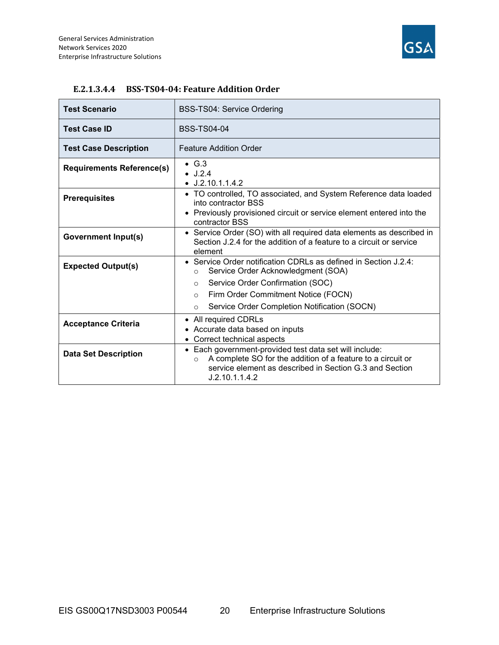

| <b>Test Scenario</b>             | <b>BSS-TS04: Service Ordering</b>                                                                                                                                                                             |
|----------------------------------|---------------------------------------------------------------------------------------------------------------------------------------------------------------------------------------------------------------|
| <b>Test Case ID</b>              | <b>BSS-TS04-04</b>                                                                                                                                                                                            |
| <b>Test Case Description</b>     | <b>Feature Addition Order</b>                                                                                                                                                                                 |
| <b>Requirements Reference(s)</b> | $\bullet$ G.3<br>$\bullet$ J.2.4<br>$\bullet$ J.2.10.1.1.4.2                                                                                                                                                  |
| <b>Prerequisites</b>             | • TO controlled, TO associated, and System Reference data loaded<br>into contractor BSS                                                                                                                       |
|                                  | • Previously provisioned circuit or service element entered into the<br>contractor BSS                                                                                                                        |
| <b>Government Input(s)</b>       | • Service Order (SO) with all required data elements as described in<br>Section J.2.4 for the addition of a feature to a circuit or service<br>element                                                        |
| <b>Expected Output(s)</b>        | • Service Order notification CDRLs as defined in Section J.2.4:<br>Service Order Acknowledgment (SOA)<br>$\circ$                                                                                              |
|                                  | Service Order Confirmation (SOC)<br>$\circ$                                                                                                                                                                   |
|                                  | Firm Order Commitment Notice (FOCN)<br>$\Omega$                                                                                                                                                               |
|                                  | Service Order Completion Notification (SOCN)<br>$\circ$                                                                                                                                                       |
| <b>Acceptance Criteria</b>       | • All required CDRLs                                                                                                                                                                                          |
|                                  | • Accurate data based on inputs<br>• Correct technical aspects                                                                                                                                                |
| <b>Data Set Description</b>      | • Each government-provided test data set will include:<br>A complete SO for the addition of a feature to a circuit or<br>$\circ$<br>service element as described in Section G.3 and Section<br>J.2.10.1.1.4.2 |

#### E.2.1.3.4.4 BSS-TS04-04: Feature Addition Order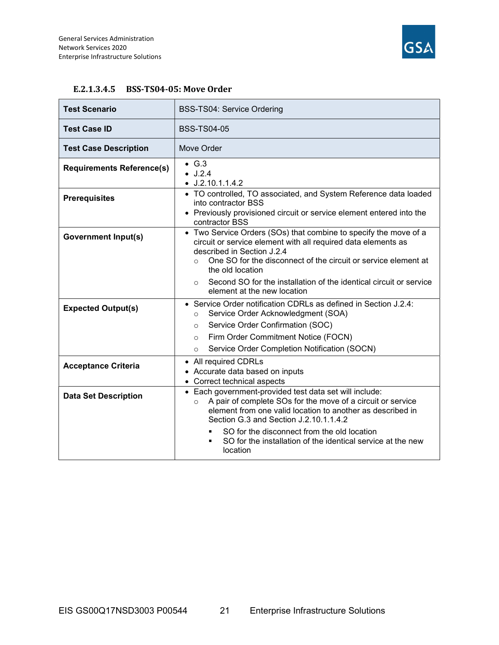

| <b>Test Scenario</b>             | <b>BSS-TS04: Service Ordering</b>                                                                                                                                                                                                                                                                                                                                                    |
|----------------------------------|--------------------------------------------------------------------------------------------------------------------------------------------------------------------------------------------------------------------------------------------------------------------------------------------------------------------------------------------------------------------------------------|
| <b>Test Case ID</b>              | <b>BSS-TS04-05</b>                                                                                                                                                                                                                                                                                                                                                                   |
| <b>Test Case Description</b>     | Move Order                                                                                                                                                                                                                                                                                                                                                                           |
| <b>Requirements Reference(s)</b> | $\bullet$ G.3<br>$\bullet$ J.2.4<br>$\bullet$ J.2.10.1.1.4.2                                                                                                                                                                                                                                                                                                                         |
| <b>Prerequisites</b>             | • TO controlled, TO associated, and System Reference data loaded<br>into contractor BSS<br>• Previously provisioned circuit or service element entered into the<br>contractor BSS                                                                                                                                                                                                    |
| <b>Government Input(s)</b>       | • Two Service Orders (SOs) that combine to specify the move of a<br>circuit or service element with all required data elements as<br>described in Section J.2.4<br>One SO for the disconnect of the circuit or service element at<br>$\Omega$<br>the old location                                                                                                                    |
|                                  | Second SO for the installation of the identical circuit or service<br>$\circ$<br>element at the new location                                                                                                                                                                                                                                                                         |
| <b>Expected Output(s)</b>        | • Service Order notification CDRLs as defined in Section J.2.4:<br>Service Order Acknowledgment (SOA)<br>$\circ$<br>Service Order Confirmation (SOC)<br>$\Omega$                                                                                                                                                                                                                     |
|                                  | Firm Order Commitment Notice (FOCN)<br>$\circ$<br>Service Order Completion Notification (SOCN)<br>$\circ$                                                                                                                                                                                                                                                                            |
| <b>Acceptance Criteria</b>       | • All required CDRLs<br>• Accurate data based on inputs<br>• Correct technical aspects                                                                                                                                                                                                                                                                                               |
| <b>Data Set Description</b>      | • Each government-provided test data set will include:<br>A pair of complete SOs for the move of a circuit or service<br>$\circ$<br>element from one valid location to another as described in<br>Section G.3 and Section J.2.10.1.1.4.2<br>SO for the disconnect from the old location<br>SO for the installation of the identical service at the new<br>$\blacksquare$<br>location |

#### E.2.1.3.4.5 BSS-TS04-05: Move Order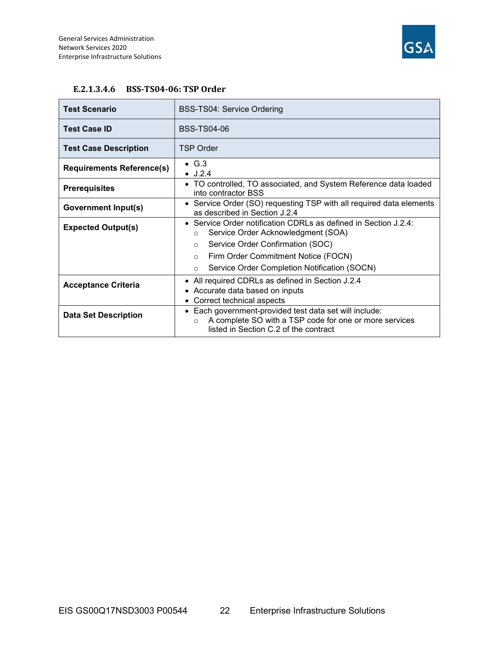

| E.2.1.3.4.6 BSS-TS04-06: TSP Order |
|------------------------------------|
|                                    |

| <b>Test Scenario</b>             | <b>BSS-TS04: Service Ordering</b>                                                                                                                                    |
|----------------------------------|----------------------------------------------------------------------------------------------------------------------------------------------------------------------|
| <b>Test Case ID</b>              | BSS-TS04-06                                                                                                                                                          |
| <b>Test Case Description</b>     | TSP Order                                                                                                                                                            |
| <b>Requirements Reference(s)</b> | $\bullet$ G.3<br>$\bullet$ J.2.4                                                                                                                                     |
| <b>Prerequisites</b>             | • TO controlled, TO associated, and System Reference data loaded<br>into contractor BSS                                                                              |
| <b>Government Input(s)</b>       | • Service Order (SO) requesting TSP with all required data elements<br>as described in Section J.2.4                                                                 |
| <b>Expected Output(s)</b>        | • Service Order notification CDRLs as defined in Section J.2.4:<br>Service Order Acknowledgment (SOA)<br>$\circ$                                                     |
|                                  | Service Order Confirmation (SOC)<br>$\circ$                                                                                                                          |
|                                  | Firm Order Commitment Notice (FOCN)<br>$\circ$                                                                                                                       |
|                                  | Service Order Completion Notification (SOCN)<br>$\Omega$                                                                                                             |
| <b>Acceptance Criteria</b>       | All required CDRLs as defined in Section J.2.4<br>• Accurate data based on inputs<br>• Correct technical aspects                                                     |
| <b>Data Set Description</b>      | • Each government-provided test data set will include:<br>A complete SO with a TSP code for one or more services<br>$\circ$<br>listed in Section C.2 of the contract |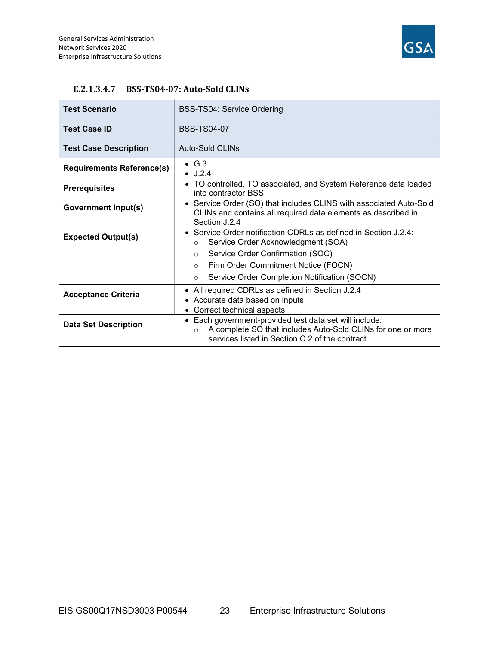

| <b>Test Scenario</b>             | <b>BSS-TS04: Service Ordering</b>                                                                                                                                                   |
|----------------------------------|-------------------------------------------------------------------------------------------------------------------------------------------------------------------------------------|
| <b>Test Case ID</b>              | <b>BSS-TS04-07</b>                                                                                                                                                                  |
| <b>Test Case Description</b>     | Auto-Sold CLINs                                                                                                                                                                     |
| <b>Requirements Reference(s)</b> | $\bullet$ G.3<br>$\bullet$ J.2.4                                                                                                                                                    |
| <b>Prerequisites</b>             | • TO controlled, TO associated, and System Reference data loaded<br>into contractor BSS                                                                                             |
| <b>Government Input(s)</b>       | • Service Order (SO) that includes CLINS with associated Auto-Sold<br>CLINs and contains all required data elements as described in<br>Section J.2.4                                |
| <b>Expected Output(s)</b>        | • Service Order notification CDRLs as defined in Section J.2.4:<br>Service Order Acknowledgment (SOA)<br>$\circ$                                                                    |
|                                  | Service Order Confirmation (SOC)<br>$\circ$                                                                                                                                         |
|                                  | Firm Order Commitment Notice (FOCN)<br>$\circ$                                                                                                                                      |
|                                  | Service Order Completion Notification (SOCN)<br>$\circ$                                                                                                                             |
| <b>Acceptance Criteria</b>       | • All required CDRLs as defined in Section J.2.4                                                                                                                                    |
|                                  | • Accurate data based on inputs                                                                                                                                                     |
|                                  | Correct technical aspects                                                                                                                                                           |
| <b>Data Set Description</b>      | • Each government-provided test data set will include:<br>A complete SO that includes Auto-Sold CLINs for one or more<br>$\Omega$<br>services listed in Section C.2 of the contract |

#### E.2.1.3.4.7 BSS-TS04-07: Auto-Sold CLINs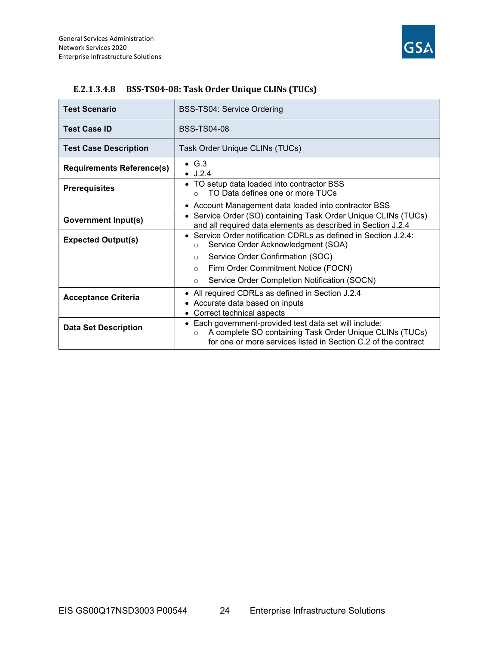

| <b>Test Scenario</b>             | <b>BSS-TS04: Service Ordering</b>                                                                                                                                                              |
|----------------------------------|------------------------------------------------------------------------------------------------------------------------------------------------------------------------------------------------|
| <b>Test Case ID</b>              | <b>BSS-TS04-08</b>                                                                                                                                                                             |
| <b>Test Case Description</b>     | Task Order Unique CLINs (TUCs)                                                                                                                                                                 |
| <b>Requirements Reference(s)</b> | $\bullet$ G.3<br>J.2.4                                                                                                                                                                         |
| <b>Prerequisites</b>             | • TO setup data loaded into contractor BSS<br>TO Data defines one or more TUCs                                                                                                                 |
|                                  | • Account Management data loaded into contractor BSS                                                                                                                                           |
| <b>Government Input(s)</b>       | • Service Order (SO) containing Task Order Unique CLINs (TUCs)<br>and all required data elements as described in Section J.2.4                                                                 |
| <b>Expected Output(s)</b>        | • Service Order notification CDRLs as defined in Section J.2.4:<br>Service Order Acknowledgment (SOA)<br>O                                                                                     |
|                                  | Service Order Confirmation (SOC)<br>$\circ$                                                                                                                                                    |
|                                  | Firm Order Commitment Notice (FOCN)<br>$\circ$                                                                                                                                                 |
|                                  | Service Order Completion Notification (SOCN)<br>$\circ$                                                                                                                                        |
| <b>Acceptance Criteria</b>       | • All required CDRLs as defined in Section J.2.4<br>• Accurate data based on inputs                                                                                                            |
|                                  | • Correct technical aspects                                                                                                                                                                    |
| <b>Data Set Description</b>      | • Each government-provided test data set will include:<br>A complete SO containing Task Order Unique CLINs (TUCs)<br>$\circ$<br>for one or more services listed in Section C.2 of the contract |

#### E.2.1.3.4.8 BSS-TS04-08: Task Order Unique CLINs (TUCs)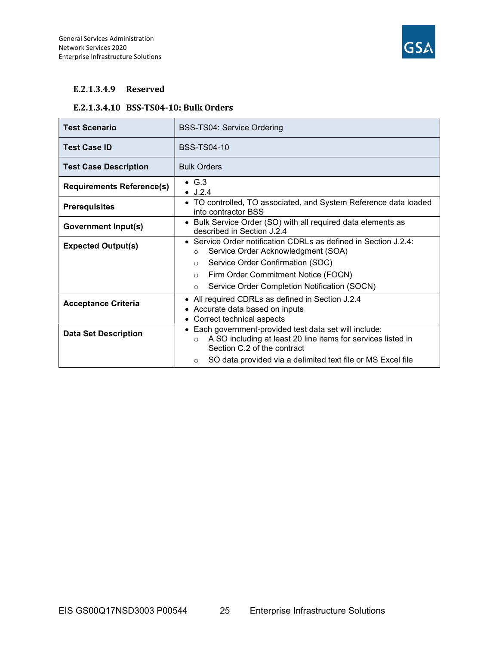

#### E.2.1.3.4.9 Reserved

#### E.2.1.3.4.10 BSS-TS04-10: Bulk Orders

| <b>Test Scenario</b>             | BSS-TS04: Service Ordering                                                                                                                                                   |
|----------------------------------|------------------------------------------------------------------------------------------------------------------------------------------------------------------------------|
| <b>Test Case ID</b>              | BSS-TS04-10                                                                                                                                                                  |
| <b>Test Case Description</b>     | <b>Bulk Orders</b>                                                                                                                                                           |
| <b>Requirements Reference(s)</b> | $\bullet$ G.3<br>$\bullet$ J.2.4                                                                                                                                             |
| <b>Prerequisites</b>             | • TO controlled, TO associated, and System Reference data loaded<br>into contractor BSS                                                                                      |
| <b>Government Input(s)</b>       | • Bulk Service Order (SO) with all required data elements as<br>described in Section J.2.4                                                                                   |
| <b>Expected Output(s)</b>        | • Service Order notification CDRLs as defined in Section $J.2.4$ :<br>Service Order Acknowledgment (SOA)<br>$\circ$                                                          |
|                                  | Service Order Confirmation (SOC)<br>$\circ$                                                                                                                                  |
|                                  | Firm Order Commitment Notice (FOCN)<br>$\circ$                                                                                                                               |
|                                  | Service Order Completion Notification (SOCN)<br>$\circ$                                                                                                                      |
| <b>Acceptance Criteria</b>       | • All required CDRLs as defined in Section J.2.4<br>• Accurate data based on inputs<br>Correct technical aspects                                                             |
| <b>Data Set Description</b>      | Each government-provided test data set will include:<br>$\bullet$<br>A SO including at least 20 line items for services listed in<br>$\Omega$<br>Section C.2 of the contract |
|                                  | SO data provided via a delimited text file or MS Excel file<br>$\circ$                                                                                                       |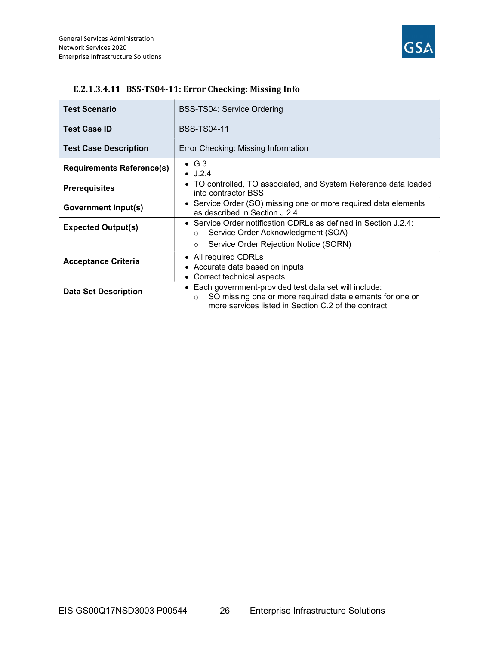

| <b>Test Scenario</b>             | <b>BSS-TS04: Service Ordering</b>                                                                                                                                                    |
|----------------------------------|--------------------------------------------------------------------------------------------------------------------------------------------------------------------------------------|
| <b>Test Case ID</b>              | <b>BSS-TS04-11</b>                                                                                                                                                                   |
| <b>Test Case Description</b>     | Error Checking: Missing Information                                                                                                                                                  |
| <b>Requirements Reference(s)</b> | $\bullet$ G.3<br>$\bullet$ J.2.4                                                                                                                                                     |
| <b>Prerequisites</b>             | • TO controlled, TO associated, and System Reference data loaded<br>into contractor BSS                                                                                              |
| Government Input(s)              | • Service Order (SO) missing one or more required data elements<br>as described in Section J.2.4                                                                                     |
| <b>Expected Output(s)</b>        | • Service Order notification CDRLs as defined in Section J.2.4:<br>Service Order Acknowledgment (SOA)<br>O                                                                           |
|                                  | Service Order Rejection Notice (SORN)<br>$\circ$                                                                                                                                     |
| <b>Acceptance Criteria</b>       | • All required CDRLs<br>• Accurate data based on inputs<br>Correct technical aspects                                                                                                 |
| <b>Data Set Description</b>      | • Each government-provided test data set will include:<br>SO missing one or more required data elements for one or<br>$\circ$<br>more services listed in Section C.2 of the contract |

#### E.2.1.3.4.11 BSS-TS04-11: Error Checking: Missing Info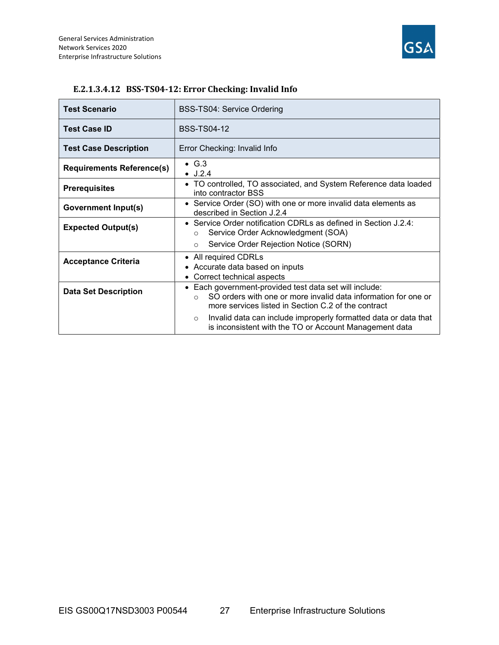

| <b>Test Scenario</b>             | BSS-TS04: Service Ordering                                                                                                                                                                |
|----------------------------------|-------------------------------------------------------------------------------------------------------------------------------------------------------------------------------------------|
| <b>Test Case ID</b>              | <b>BSS-TS04-12</b>                                                                                                                                                                        |
| <b>Test Case Description</b>     | Error Checking: Invalid Info                                                                                                                                                              |
| <b>Requirements Reference(s)</b> | $\bullet$ G.3<br>$\bullet$ J.2.4                                                                                                                                                          |
| <b>Prerequisites</b>             | • TO controlled, TO associated, and System Reference data loaded<br>into contractor BSS                                                                                                   |
| <b>Government Input(s)</b>       | • Service Order (SO) with one or more invalid data elements as<br>described in Section J.2.4                                                                                              |
| <b>Expected Output(s)</b>        | • Service Order notification CDRLs as defined in Section $J.2.4$ :<br>Service Order Acknowledgment (SOA)<br>$\circ$                                                                       |
|                                  | Service Order Rejection Notice (SORN)<br>$\circ$                                                                                                                                          |
| <b>Acceptance Criteria</b>       | • All required CDRLs<br>• Accurate data based on inputs<br>• Correct technical aspects                                                                                                    |
| <b>Data Set Description</b>      | Each government-provided test data set will include:<br>SO orders with one or more invalid data information for one or<br>$\Omega$<br>more services listed in Section C.2 of the contract |
|                                  | Invalid data can include improperly formatted data or data that<br>$\circ$<br>is inconsistent with the TO or Account Management data                                                      |

#### E.2.1.3.4.12 BSS-TS04-12: Error Checking: Invalid Info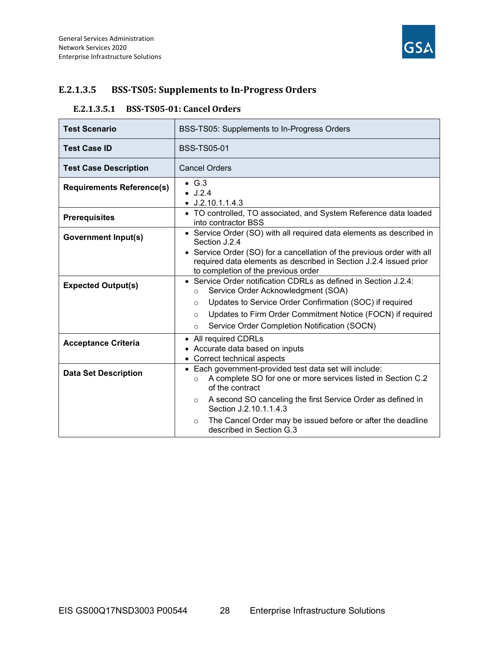

## E.2.1.3.5 BSS-TS05: Supplements to In-Progress Orders

#### E.2.1.3.5.1 BSS-TS05-01: Cancel Orders

| <b>Test Scenario</b>             | BSS-TS05: Supplements to In-Progress Orders                                                                                                                                                                                                                                                                                                                         |
|----------------------------------|---------------------------------------------------------------------------------------------------------------------------------------------------------------------------------------------------------------------------------------------------------------------------------------------------------------------------------------------------------------------|
| <b>Test Case ID</b>              | <b>BSS-TS05-01</b>                                                                                                                                                                                                                                                                                                                                                  |
| <b>Test Case Description</b>     | <b>Cancel Orders</b>                                                                                                                                                                                                                                                                                                                                                |
| <b>Requirements Reference(s)</b> | $\bullet$ G.3<br>$\bullet$ J.2.4<br>$\bullet$ J.2.10.1.1.4.3                                                                                                                                                                                                                                                                                                        |
| <b>Prerequisites</b>             | • TO controlled, TO associated, and System Reference data loaded<br>into contractor BSS                                                                                                                                                                                                                                                                             |
| <b>Government Input(s)</b>       | • Service Order (SO) with all required data elements as described in<br>Section J.2.4<br>• Service Order (SO) for a cancellation of the previous order with all<br>required data elements as described in Section J.2.4 issued prior                                                                                                                                |
| <b>Expected Output(s)</b>        | to completion of the previous order<br>• Service Order notification CDRLs as defined in Section J.2.4:<br>Service Order Acknowledgment (SOA)<br>$\circ$<br>Updates to Service Order Confirmation (SOC) if required<br>$\Omega$<br>Updates to Firm Order Commitment Notice (FOCN) if required<br>$\circ$<br>Service Order Completion Notification (SOCN)<br>$\Omega$ |
| <b>Acceptance Criteria</b>       | • All required CDRLs<br>Accurate data based on inputs<br>Correct technical aspects<br>$\bullet$                                                                                                                                                                                                                                                                     |
| <b>Data Set Description</b>      | • Each government-provided test data set will include:<br>A complete SO for one or more services listed in Section C.2<br>$\circ$<br>of the contract                                                                                                                                                                                                                |
|                                  | A second SO canceling the first Service Order as defined in<br>$\circ$<br>Section J.2.10.1.1.4.3                                                                                                                                                                                                                                                                    |
|                                  | The Cancel Order may be issued before or after the deadline<br>$\Omega$<br>described in Section G.3                                                                                                                                                                                                                                                                 |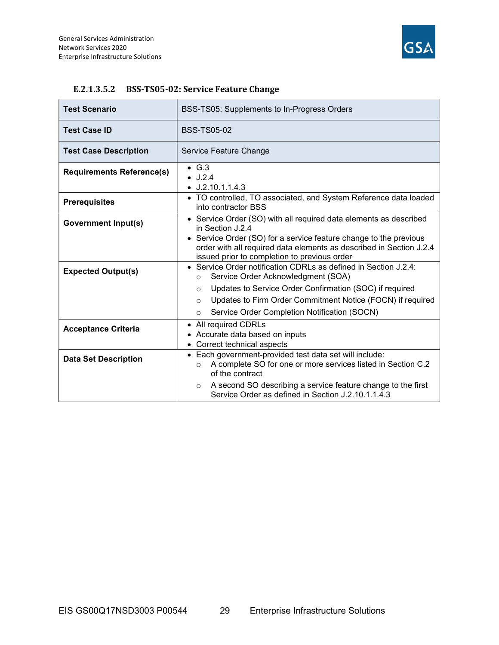

| <b>Test Scenario</b>             | BSS-TS05: Supplements to In-Progress Orders                                                                                                                                              |
|----------------------------------|------------------------------------------------------------------------------------------------------------------------------------------------------------------------------------------|
| <b>Test Case ID</b>              | <b>BSS-TS05-02</b>                                                                                                                                                                       |
| <b>Test Case Description</b>     | Service Feature Change                                                                                                                                                                   |
| <b>Requirements Reference(s)</b> | $\bullet$ G.3<br>$\bullet$ J.2.4<br>$\bullet$ J.2.10.1.1.4.3                                                                                                                             |
| <b>Prerequisites</b>             | • TO controlled, TO associated, and System Reference data loaded<br>into contractor BSS                                                                                                  |
| <b>Government Input(s)</b>       | • Service Order (SO) with all required data elements as described<br>in Section J.2.4                                                                                                    |
|                                  | • Service Order (SO) for a service feature change to the previous<br>order with all required data elements as described in Section J.2.4<br>issued prior to completion to previous order |
| <b>Expected Output(s)</b>        | • Service Order notification CDRLs as defined in Section J.2.4:<br>Service Order Acknowledgment (SOA)<br>$\circ$                                                                         |
|                                  | Updates to Service Order Confirmation (SOC) if required<br>$\circ$                                                                                                                       |
|                                  | Updates to Firm Order Commitment Notice (FOCN) if required<br>$\circ$                                                                                                                    |
|                                  | Service Order Completion Notification (SOCN)<br>$\circ$                                                                                                                                  |
| <b>Acceptance Criteria</b>       | All required CDRLs<br>$\bullet$                                                                                                                                                          |
|                                  | Accurate data based on inputs                                                                                                                                                            |
|                                  | Correct technical aspects                                                                                                                                                                |
| <b>Data Set Description</b>      | • Each government-provided test data set will include:<br>A complete SO for one or more services listed in Section C.2<br>$\circ$<br>of the contract                                     |
|                                  | A second SO describing a service feature change to the first<br>$\circ$<br>Service Order as defined in Section J.2.10.1.1.4.3                                                            |

#### E.2.1.3.5.2 BSS-TS05-02: Service Feature Change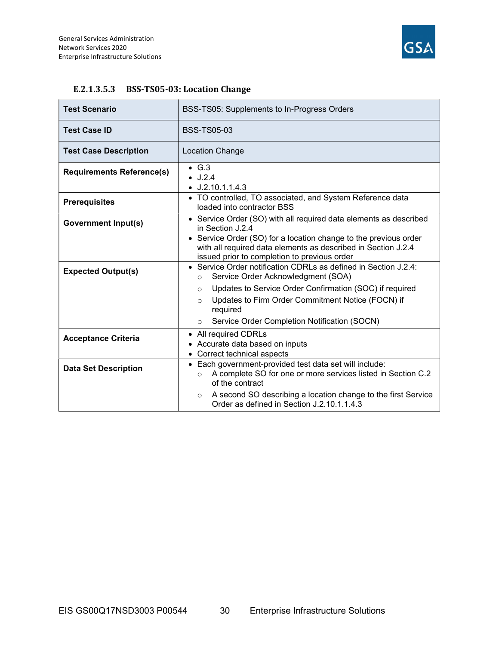

| <b>Test Scenario</b>             | BSS-TS05: Supplements to In-Progress Orders                                                                                                                                                                                                                              |
|----------------------------------|--------------------------------------------------------------------------------------------------------------------------------------------------------------------------------------------------------------------------------------------------------------------------|
| <b>Test Case ID</b>              | <b>BSS-TS05-03</b>                                                                                                                                                                                                                                                       |
| <b>Test Case Description</b>     | <b>Location Change</b>                                                                                                                                                                                                                                                   |
| <b>Requirements Reference(s)</b> | $\bullet$ G.3<br>$\bullet$ J.2.4<br>$\bullet$ J.2.10.1.1.4.3                                                                                                                                                                                                             |
| <b>Prerequisites</b>             | • TO controlled, TO associated, and System Reference data<br>loaded into contractor BSS                                                                                                                                                                                  |
| <b>Government Input(s)</b>       | • Service Order (SO) with all required data elements as described<br>in Section J.2.4<br>Service Order (SO) for a location change to the previous order<br>with all required data elements as described in Section J.2.4<br>issued prior to completion to previous order |
| <b>Expected Output(s)</b>        | • Service Order notification CDRLs as defined in Section J.2.4:<br>Service Order Acknowledgment (SOA)<br>$\circ$<br>Updates to Service Order Confirmation (SOC) if required<br>$\Omega$                                                                                  |
|                                  | Updates to Firm Order Commitment Notice (FOCN) if<br>$\circ$<br>required<br>Service Order Completion Notification (SOCN)<br>$\circ$                                                                                                                                      |
| <b>Acceptance Criteria</b>       | All required CDRLs<br>٠<br>Accurate data based on inputs<br>Correct technical aspects                                                                                                                                                                                    |
| <b>Data Set Description</b>      | Each government-provided test data set will include:<br>A complete SO for one or more services listed in Section C.2<br>$\circ$<br>of the contract                                                                                                                       |
|                                  | A second SO describing a location change to the first Service<br>$\circ$<br>Order as defined in Section J.2.10.1.1.4.3                                                                                                                                                   |

#### E.2.1.3.5.3 BSS-TS05-03: Location Change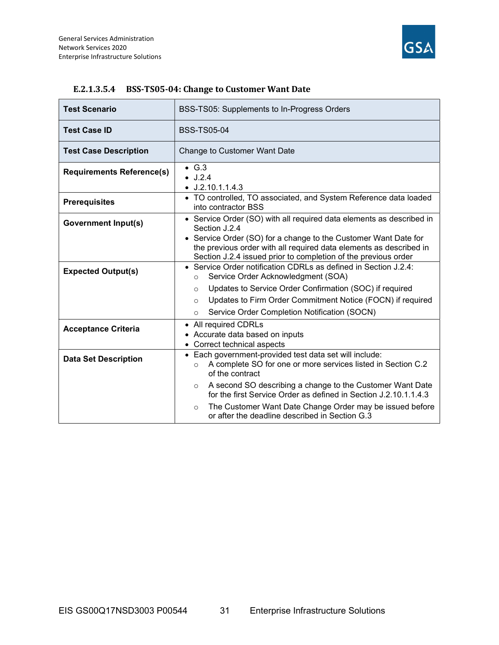

| <b>Test Scenario</b>             | BSS-TS05: Supplements to In-Progress Orders                                                                                                                                                             |
|----------------------------------|---------------------------------------------------------------------------------------------------------------------------------------------------------------------------------------------------------|
| <b>Test Case ID</b>              | <b>BSS-TS05-04</b>                                                                                                                                                                                      |
| <b>Test Case Description</b>     | Change to Customer Want Date                                                                                                                                                                            |
| <b>Requirements Reference(s)</b> | $\bullet$ G.3<br>J.2.4<br>$\bullet$ J.2.10.1.1.4.3                                                                                                                                                      |
| <b>Prerequisites</b>             | • TO controlled, TO associated, and System Reference data loaded<br>into contractor BSS                                                                                                                 |
| <b>Government Input(s)</b>       | • Service Order (SO) with all required data elements as described in<br>Section J.2.4                                                                                                                   |
|                                  | • Service Order (SO) for a change to the Customer Want Date for<br>the previous order with all required data elements as described in<br>Section J.2.4 issued prior to completion of the previous order |
| <b>Expected Output(s)</b>        | • Service Order notification CDRLs as defined in Section J.2.4:<br>Service Order Acknowledgment (SOA)<br>$\circ$                                                                                        |
|                                  | Updates to Service Order Confirmation (SOC) if required<br>$\circ$                                                                                                                                      |
|                                  | Updates to Firm Order Commitment Notice (FOCN) if required<br>$\circ$                                                                                                                                   |
|                                  | Service Order Completion Notification (SOCN)<br>$\circ$                                                                                                                                                 |
| <b>Acceptance Criteria</b>       | • All required CDRLs                                                                                                                                                                                    |
|                                  | • Accurate data based on inputs<br>• Correct technical aspects                                                                                                                                          |
|                                  | • Each government-provided test data set will include:                                                                                                                                                  |
| <b>Data Set Description</b>      | A complete SO for one or more services listed in Section C.2<br>$\circ$<br>of the contract                                                                                                              |
|                                  | A second SO describing a change to the Customer Want Date<br>$\circ$<br>for the first Service Order as defined in Section J.2.10.1.1.4.3                                                                |
|                                  | The Customer Want Date Change Order may be issued before<br>$\circ$<br>or after the deadline described in Section G.3                                                                                   |

#### E.2.1.3.5.4 BSS-TS05-04: Change to Customer Want Date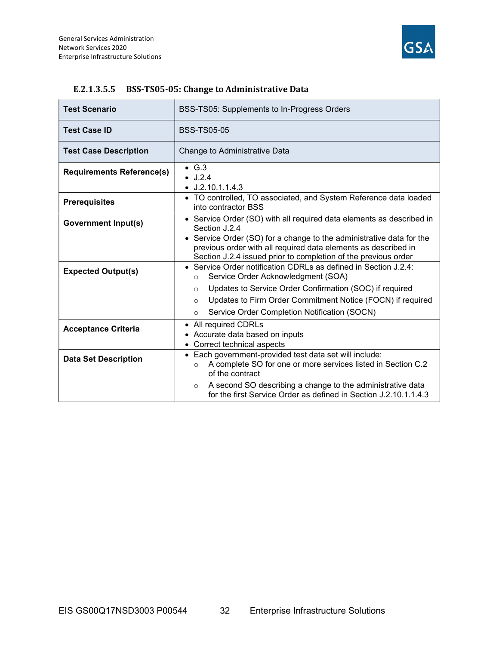

| <b>Test Scenario</b>             | BSS-TS05: Supplements to In-Progress Orders                                                                                                                                                              |
|----------------------------------|----------------------------------------------------------------------------------------------------------------------------------------------------------------------------------------------------------|
| <b>Test Case ID</b>              | <b>BSS-TS05-05</b>                                                                                                                                                                                       |
| <b>Test Case Description</b>     | Change to Administrative Data                                                                                                                                                                            |
| <b>Requirements Reference(s)</b> | $\bullet$ G.3<br>$\bullet$ J.2.4<br>$\bullet$ J.2.10.1.1.4.3                                                                                                                                             |
| <b>Prerequisites</b>             | • TO controlled, TO associated, and System Reference data loaded<br>into contractor BSS                                                                                                                  |
| <b>Government Input(s)</b>       | • Service Order (SO) with all required data elements as described in<br>Section J.2.4                                                                                                                    |
|                                  | • Service Order (SO) for a change to the administrative data for the<br>previous order with all required data elements as described in<br>Section J.2.4 issued prior to completion of the previous order |
| <b>Expected Output(s)</b>        | • Service Order notification CDRLs as defined in Section J.2.4:<br>Service Order Acknowledgment (SOA)<br>$\circ$                                                                                         |
|                                  | Updates to Service Order Confirmation (SOC) if required<br>$\circ$                                                                                                                                       |
|                                  | Updates to Firm Order Commitment Notice (FOCN) if required<br>$\circ$                                                                                                                                    |
|                                  | Service Order Completion Notification (SOCN)<br>$\circ$                                                                                                                                                  |
| <b>Acceptance Criteria</b>       | • All required CDRLs                                                                                                                                                                                     |
|                                  | • Accurate data based on inputs                                                                                                                                                                          |
|                                  | • Correct technical aspects                                                                                                                                                                              |
| <b>Data Set Description</b>      | • Each government-provided test data set will include:<br>A complete SO for one or more services listed in Section C.2<br>$\circ$<br>of the contract                                                     |
|                                  | A second SO describing a change to the administrative data<br>$\circ$<br>for the first Service Order as defined in Section J.2.10.1.1.4.3                                                                |

#### E.2.1.3.5.5 BSS-TS05-05: Change to Administrative Data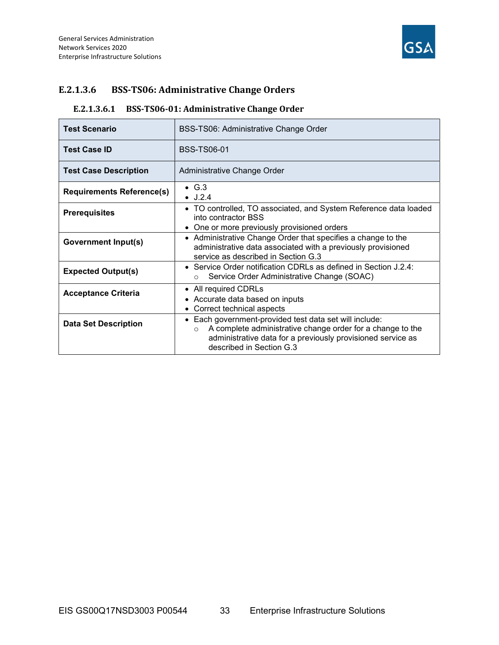

## E.2.1.3.6 BSS-TS06: Administrative Change Orders

## E.2.1.3.6.1 BSS-TS06-01: Administrative Change Order

| <b>Test Scenario</b>             | BSS-TS06: Administrative Change Order                                                                                                                                                                                       |
|----------------------------------|-----------------------------------------------------------------------------------------------------------------------------------------------------------------------------------------------------------------------------|
| <b>Test Case ID</b>              | <b>BSS-TS06-01</b>                                                                                                                                                                                                          |
| <b>Test Case Description</b>     | Administrative Change Order                                                                                                                                                                                                 |
| <b>Requirements Reference(s)</b> | $\bullet$ G.3<br>$\bullet$ J.2.4                                                                                                                                                                                            |
| <b>Prerequisites</b>             | • TO controlled, TO associated, and System Reference data loaded<br>into contractor BSS                                                                                                                                     |
|                                  | • One or more previously provisioned orders                                                                                                                                                                                 |
| Government Input(s)              | • Administrative Change Order that specifies a change to the<br>administrative data associated with a previously provisioned<br>service as described in Section G.3                                                         |
| <b>Expected Output(s)</b>        | • Service Order notification CDRLs as defined in Section J.2.4:<br>Service Order Administrative Change (SOAC)<br>$\Omega$                                                                                                   |
| <b>Acceptance Criteria</b>       | • All required CDRLs<br>• Accurate data based on inputs<br>• Correct technical aspects                                                                                                                                      |
| <b>Data Set Description</b>      | • Each government-provided test data set will include:<br>A complete administrative change order for a change to the<br>$\Omega$<br>administrative data for a previously provisioned service as<br>described in Section G.3 |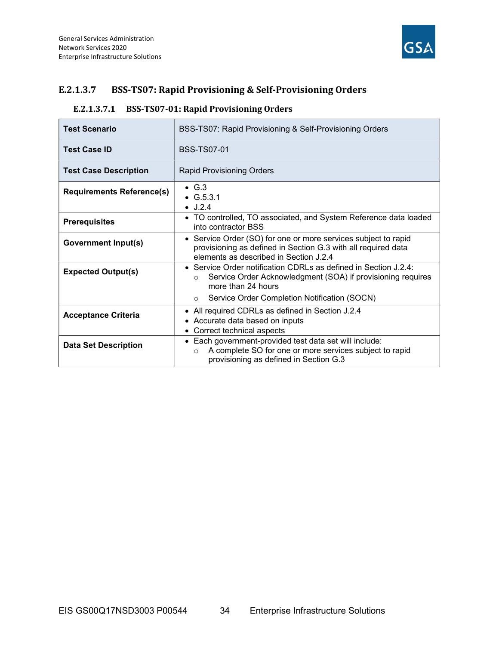

## E.2.1.3.7 BSS-TS07: Rapid Provisioning & Self-Provisioning Orders

## E.2.1.3.7.1 BSS-TS07-01: Rapid Provisioning Orders

| <b>Test Scenario</b>             | BSS-TS07: Rapid Provisioning & Self-Provisioning Orders                                                                                                                   |
|----------------------------------|---------------------------------------------------------------------------------------------------------------------------------------------------------------------------|
| <b>Test Case ID</b>              | <b>BSS-TS07-01</b>                                                                                                                                                        |
| <b>Test Case Description</b>     | <b>Rapid Provisioning Orders</b>                                                                                                                                          |
| <b>Requirements Reference(s)</b> | $\bullet$ G.3<br>• $G.5.3.1$<br>$\bullet$ J.2.4                                                                                                                           |
| <b>Prerequisites</b>             | • TO controlled, TO associated, and System Reference data loaded<br>into contractor BSS                                                                                   |
| Government Input(s)              | • Service Order (SO) for one or more services subject to rapid<br>provisioning as defined in Section G.3 with all required data<br>elements as described in Section J.2.4 |
| <b>Expected Output(s)</b>        | • Service Order notification CDRLs as defined in Section J.2.4:<br>Service Order Acknowledgment (SOA) if provisioning requires<br>$\circ$<br>more than 24 hours           |
|                                  | Service Order Completion Notification (SOCN)<br>$\circ$                                                                                                                   |
| <b>Acceptance Criteria</b>       | All required CDRLs as defined in Section J.2.4<br>• Accurate data based on inputs<br>• Correct technical aspects                                                          |
| <b>Data Set Description</b>      | • Each government-provided test data set will include:<br>A complete SO for one or more services subject to rapid<br>$\Omega$<br>provisioning as defined in Section G.3   |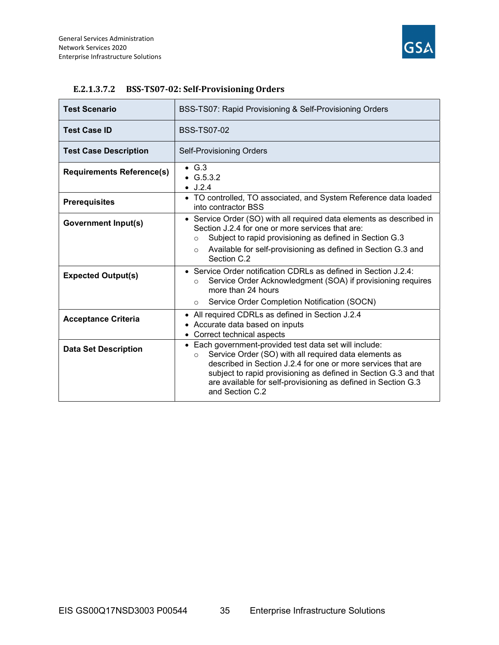

| <b>Test Scenario</b>             | BSS-TS07: Rapid Provisioning & Self-Provisioning Orders                                                                                                                                                                                                                                                                                            |
|----------------------------------|----------------------------------------------------------------------------------------------------------------------------------------------------------------------------------------------------------------------------------------------------------------------------------------------------------------------------------------------------|
| <b>Test Case ID</b>              | <b>BSS-TS07-02</b>                                                                                                                                                                                                                                                                                                                                 |
| <b>Test Case Description</b>     | <b>Self-Provisioning Orders</b>                                                                                                                                                                                                                                                                                                                    |
| <b>Requirements Reference(s)</b> | $\bullet$ G.3<br>$\bullet$ G.5.3.2<br>$\bullet$ J.2.4                                                                                                                                                                                                                                                                                              |
| <b>Prerequisites</b>             | • TO controlled, TO associated, and System Reference data loaded<br>into contractor BSS                                                                                                                                                                                                                                                            |
| <b>Government Input(s)</b>       | • Service Order (SO) with all required data elements as described in<br>Section J.2.4 for one or more services that are:<br>Subject to rapid provisioning as defined in Section G.3<br>$\circ$                                                                                                                                                     |
|                                  | Available for self-provisioning as defined in Section G.3 and<br>$\circ$<br>Section C.2                                                                                                                                                                                                                                                            |
| <b>Expected Output(s)</b>        | • Service Order notification CDRLs as defined in Section J.2.4:<br>Service Order Acknowledgment (SOA) if provisioning requires<br>$\circ$<br>more than 24 hours                                                                                                                                                                                    |
|                                  | Service Order Completion Notification (SOCN)<br>$\circ$                                                                                                                                                                                                                                                                                            |
| <b>Acceptance Criteria</b>       | • All required CDRLs as defined in Section J.2.4<br>• Accurate data based on inputs<br>• Correct technical aspects                                                                                                                                                                                                                                 |
| <b>Data Set Description</b>      | • Each government-provided test data set will include:<br>Service Order (SO) with all required data elements as<br>$\circ$<br>described in Section J.2.4 for one or more services that are<br>subject to rapid provisioning as defined in Section G.3 and that<br>are available for self-provisioning as defined in Section G.3<br>and Section C.2 |

#### E.2.1.3.7.2 BSS-TS07-02: Self-Provisioning Orders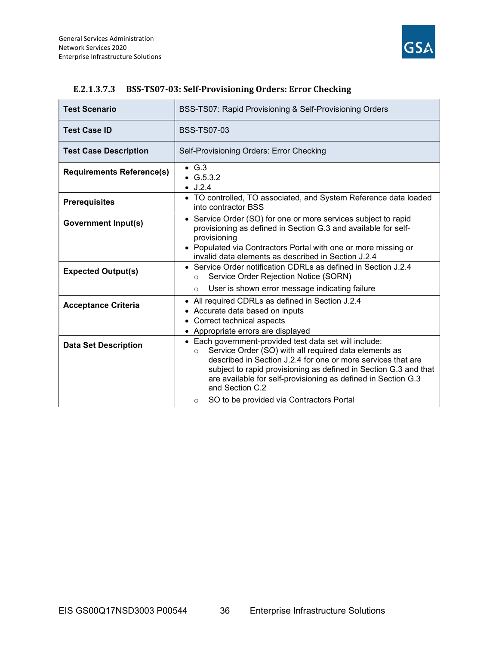

| <b>Test Scenario</b>             | BSS-TS07: Rapid Provisioning & Self-Provisioning Orders                                                                                                                                                                                                                                                                                                                                                   |  |  |  |
|----------------------------------|-----------------------------------------------------------------------------------------------------------------------------------------------------------------------------------------------------------------------------------------------------------------------------------------------------------------------------------------------------------------------------------------------------------|--|--|--|
| <b>Test Case ID</b>              | <b>BSS-TS07-03</b>                                                                                                                                                                                                                                                                                                                                                                                        |  |  |  |
| <b>Test Case Description</b>     | Self-Provisioning Orders: Error Checking                                                                                                                                                                                                                                                                                                                                                                  |  |  |  |
| <b>Requirements Reference(s)</b> | $\bullet$ G.3<br>$\bullet$ G.5.3.2<br>$\bullet$ J.2.4                                                                                                                                                                                                                                                                                                                                                     |  |  |  |
| <b>Prerequisites</b>             | • TO controlled, TO associated, and System Reference data loaded<br>into contractor BSS                                                                                                                                                                                                                                                                                                                   |  |  |  |
| <b>Government Input(s)</b>       | • Service Order (SO) for one or more services subject to rapid<br>provisioning as defined in Section G.3 and available for self-<br>provisioning<br>• Populated via Contractors Portal with one or more missing or<br>invalid data elements as described in Section J.2.4                                                                                                                                 |  |  |  |
| <b>Expected Output(s)</b>        | • Service Order notification CDRLs as defined in Section J.2.4<br>Service Order Rejection Notice (SORN)<br>$\Omega$<br>User is shown error message indicating failure<br>$\circ$                                                                                                                                                                                                                          |  |  |  |
| <b>Acceptance Criteria</b>       | • All required CDRLs as defined in Section J.2.4<br>• Accurate data based on inputs<br>• Correct technical aspects<br>• Appropriate errors are displayed                                                                                                                                                                                                                                                  |  |  |  |
| <b>Data Set Description</b>      | • Each government-provided test data set will include:<br>Service Order (SO) with all required data elements as<br>$\circ$<br>described in Section J.2.4 for one or more services that are<br>subject to rapid provisioning as defined in Section G.3 and that<br>are available for self-provisioning as defined in Section G.3<br>and Section C.2<br>SO to be provided via Contractors Portal<br>$\circ$ |  |  |  |

#### E.2.1.3.7.3 BSS-TS07-03: Self-Provisioning Orders: Error Checking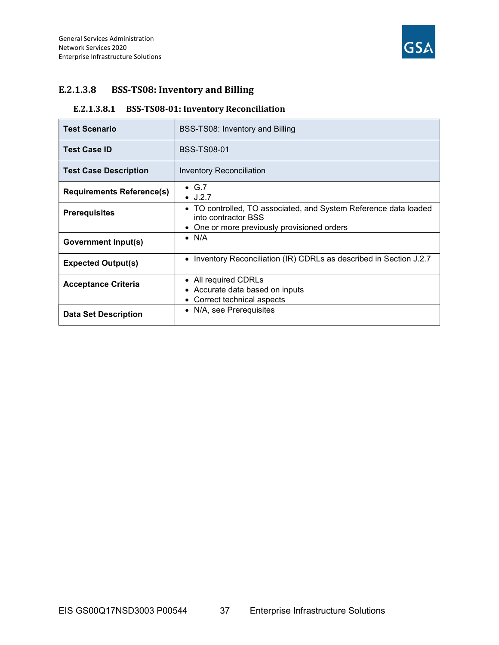

## E.2.1.3.8 BSS-TS08: Inventory and Billing

## E.2.1.3.8.1 BSS-TS08-01: Inventory Reconciliation

| <b>Test Scenario</b>             | BSS-TS08: Inventory and Billing                                                         |  |
|----------------------------------|-----------------------------------------------------------------------------------------|--|
| <b>Test Case ID</b>              | <b>BSS-TS08-01</b>                                                                      |  |
| <b>Test Case Description</b>     | Inventory Reconciliation                                                                |  |
| <b>Requirements Reference(s)</b> | $\bullet$ G.7<br>$\bullet$ J.2.7                                                        |  |
| <b>Prerequisites</b>             | • TO controlled, TO associated, and System Reference data loaded<br>into contractor BSS |  |
|                                  | One or more previously provisioned orders                                               |  |
| Government Input(s)              | $\bullet$ N/A                                                                           |  |
| <b>Expected Output(s)</b>        | Inventory Reconciliation (IR) CDRLs as described in Section J.2.7                       |  |
| <b>Acceptance Criteria</b>       | • All required CDRLs<br>• Accurate data based on inputs<br>• Correct technical aspects  |  |
| <b>Data Set Description</b>      | • N/A, see Prerequisites                                                                |  |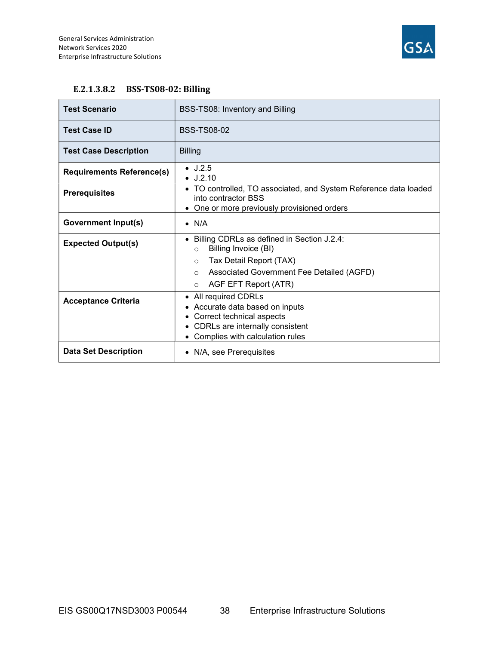

#### E.2.1.3.8.2 BSS-TS08-02: Billing

| <b>Test Scenario</b>             | BSS-TS08: Inventory and Billing                                                                                                                                           |  |  |
|----------------------------------|---------------------------------------------------------------------------------------------------------------------------------------------------------------------------|--|--|
| <b>Test Case ID</b>              | <b>BSS-TS08-02</b>                                                                                                                                                        |  |  |
| <b>Test Case Description</b>     | <b>Billing</b>                                                                                                                                                            |  |  |
| <b>Requirements Reference(s)</b> | $\bullet$ J.2.5<br>$\bullet$ J.2.10                                                                                                                                       |  |  |
| <b>Prerequisites</b>             | • TO controlled, TO associated, and System Reference data loaded<br>into contractor BSS                                                                                   |  |  |
|                                  | • One or more previously provisioned orders                                                                                                                               |  |  |
| <b>Government Input(s)</b>       | $\bullet$ N/A                                                                                                                                                             |  |  |
| <b>Expected Output(s)</b>        | Billing CDRLs as defined in Section J.2.4:<br>Billing Invoice (BI)<br>$\Omega$                                                                                            |  |  |
|                                  | Tax Detail Report (TAX)<br>$\circ$                                                                                                                                        |  |  |
|                                  | Associated Government Fee Detailed (AGFD)<br>$\circ$                                                                                                                      |  |  |
|                                  | AGF EFT Report (ATR)<br>$\circ$                                                                                                                                           |  |  |
| <b>Acceptance Criteria</b>       | All required CDRLs<br>$\bullet$<br>• Accurate data based on inputs<br>• Correct technical aspects<br>• CDRLs are internally consistent<br>Complies with calculation rules |  |  |
| <b>Data Set Description</b>      | • N/A, see Prerequisites                                                                                                                                                  |  |  |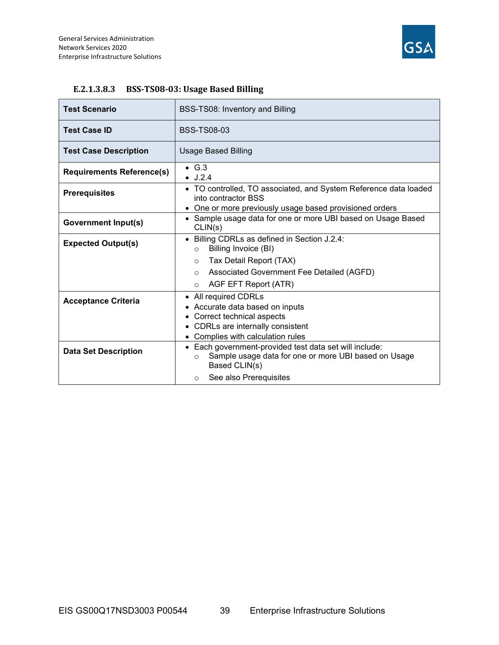

| <b>Test Scenario</b>             | BSS-TS08: Inventory and Billing                                                                                                            |  |  |  |
|----------------------------------|--------------------------------------------------------------------------------------------------------------------------------------------|--|--|--|
| <b>Test Case ID</b>              | <b>BSS-TS08-03</b>                                                                                                                         |  |  |  |
| <b>Test Case Description</b>     | <b>Usage Based Billing</b>                                                                                                                 |  |  |  |
| <b>Requirements Reference(s)</b> | $\bullet$ G.3<br>$\bullet$ J.2.4                                                                                                           |  |  |  |
| <b>Prerequisites</b>             | • TO controlled, TO associated, and System Reference data loaded<br>into contractor BSS                                                    |  |  |  |
|                                  | • One or more previously usage based provisioned orders                                                                                    |  |  |  |
| <b>Government Input(s)</b>       | • Sample usage data for one or more UBI based on Usage Based<br>CLIN(s)                                                                    |  |  |  |
| <b>Expected Output(s)</b>        | • Billing CDRLs as defined in Section J.2.4:<br>Billing Invoice (BI)<br>$\Omega$                                                           |  |  |  |
|                                  | Tax Detail Report (TAX)<br>$\circ$                                                                                                         |  |  |  |
|                                  | Associated Government Fee Detailed (AGFD)<br>$\circ$                                                                                       |  |  |  |
|                                  | AGF EFT Report (ATR)<br>$\circ$                                                                                                            |  |  |  |
|                                  | • All required CDRLs                                                                                                                       |  |  |  |
| <b>Acceptance Criteria</b>       | • Accurate data based on inputs                                                                                                            |  |  |  |
|                                  | • Correct technical aspects                                                                                                                |  |  |  |
|                                  | • CDRLs are internally consistent                                                                                                          |  |  |  |
|                                  | • Complies with calculation rules                                                                                                          |  |  |  |
| <b>Data Set Description</b>      | • Each government-provided test data set will include:<br>Sample usage data for one or more UBI based on Usage<br>$\circ$<br>Based CLIN(s) |  |  |  |
|                                  | See also Prerequisites<br>$\circ$                                                                                                          |  |  |  |

#### E.2.1.3.8.3 BSS-TS08-03: Usage Based Billing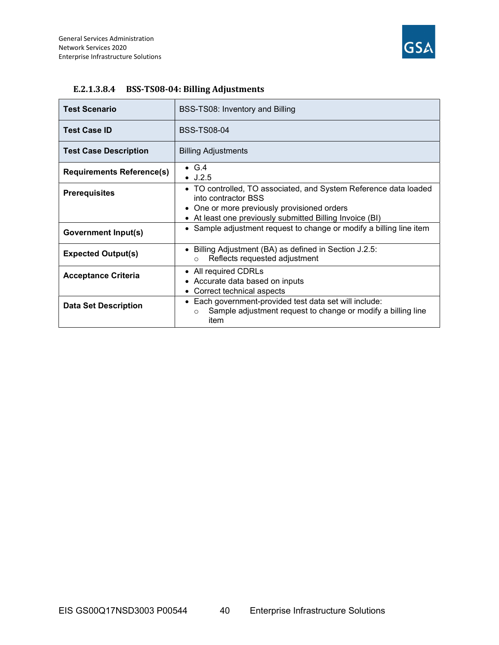

| <b>Test Scenario</b>             | BSS-TS08: Inventory and Billing                                                                                                         |  |  |
|----------------------------------|-----------------------------------------------------------------------------------------------------------------------------------------|--|--|
| <b>Test Case ID</b>              | <b>BSS-TS08-04</b>                                                                                                                      |  |  |
| <b>Test Case Description</b>     | <b>Billing Adjustments</b>                                                                                                              |  |  |
| <b>Requirements Reference(s)</b> | $\bullet$ G.4<br>$\bullet$ J.2.5                                                                                                        |  |  |
| <b>Prerequisites</b>             | • TO controlled, TO associated, and System Reference data loaded<br>into contractor BSS                                                 |  |  |
|                                  | • One or more previously provisioned orders                                                                                             |  |  |
|                                  | • At least one previously submitted Billing Invoice (BI)                                                                                |  |  |
| <b>Government Input(s)</b>       | • Sample adjustment request to change or modify a billing line item                                                                     |  |  |
| <b>Expected Output(s)</b>        | • Billing Adjustment (BA) as defined in Section J.2.5:<br>Reflects requested adjustment<br>$\circ$                                      |  |  |
| <b>Acceptance Criteria</b>       | • All required CDRLs<br>• Accurate data based on inputs                                                                                 |  |  |
|                                  | • Correct technical aspects                                                                                                             |  |  |
| <b>Data Set Description</b>      | Each government-provided test data set will include:<br>Sample adjustment request to change or modify a billing line<br>$\circ$<br>item |  |  |

#### E.2.1.3.8.4 BSS-TS08-04: Billing Adjustments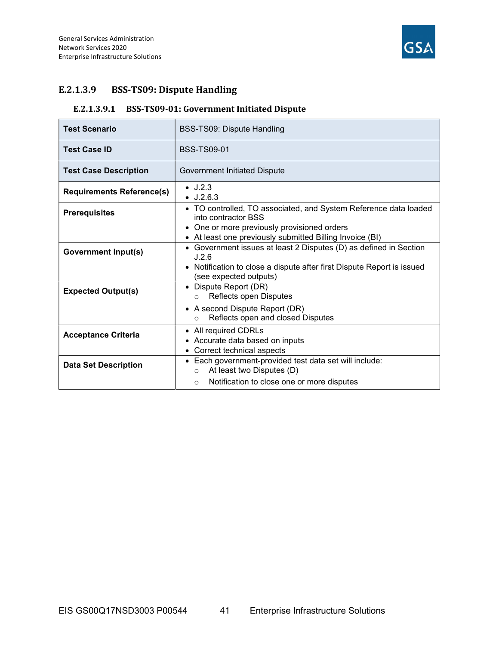

## E.2.1.3.9 BSS-TS09: Dispute Handling

## E.2.1.3.9.1 BSS-TS09-01: Government Initiated Dispute

| <b>Test Scenario</b>             | BSS-TS09: Dispute Handling                                                                              |  |  |  |
|----------------------------------|---------------------------------------------------------------------------------------------------------|--|--|--|
| <b>Test Case ID</b>              | <b>BSS-TS09-01</b>                                                                                      |  |  |  |
| <b>Test Case Description</b>     | Government Initiated Dispute                                                                            |  |  |  |
| <b>Requirements Reference(s)</b> | $\bullet$ J.2.3<br>$\bullet$ J.2.6.3                                                                    |  |  |  |
| <b>Prerequisites</b>             | • TO controlled, TO associated, and System Reference data loaded<br>into contractor BSS                 |  |  |  |
|                                  | • One or more previously provisioned orders<br>• At least one previously submitted Billing Invoice (BI) |  |  |  |
| <b>Government Input(s)</b>       | • Government issues at least 2 Disputes (D) as defined in Section<br>J.2.6                              |  |  |  |
|                                  | • Notification to close a dispute after first Dispute Report is issued<br>(see expected outputs)        |  |  |  |
| <b>Expected Output(s)</b>        | • Dispute Report (DR)<br>Reflects open Disputes<br>$\circ$                                              |  |  |  |
|                                  | • A second Dispute Report (DR)<br>Reflects open and closed Disputes<br>$\circ$                          |  |  |  |
| <b>Acceptance Criteria</b>       | • All required CDRLs<br>• Accurate data based on inputs                                                 |  |  |  |
|                                  | • Correct technical aspects                                                                             |  |  |  |
| <b>Data Set Description</b>      | • Each government-provided test data set will include:<br>At least two Disputes (D)<br>$\circ$          |  |  |  |
|                                  | Notification to close one or more disputes<br>$\circ$                                                   |  |  |  |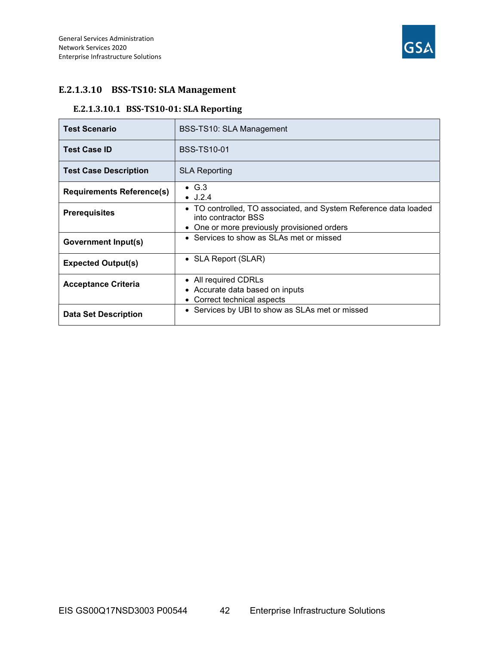

## E.2.1.3.10 BSS-TS10: SLA Management

## E.2.1.3.10.1 BSS-TS10-01: SLA Reporting

| <b>Test Scenario</b>             | BSS-TS10: SLA Management                                                                |  |
|----------------------------------|-----------------------------------------------------------------------------------------|--|
| <b>Test Case ID</b>              | <b>BSS-TS10-01</b>                                                                      |  |
| <b>Test Case Description</b>     | <b>SLA Reporting</b>                                                                    |  |
| <b>Requirements Reference(s)</b> | $\bullet$ G.3<br>$\bullet$ J.2.4                                                        |  |
| <b>Prerequisites</b>             | • TO controlled, TO associated, and System Reference data loaded<br>into contractor BSS |  |
|                                  | • One or more previously provisioned orders                                             |  |
| Government Input(s)              | • Services to show as SLAs met or missed                                                |  |
| <b>Expected Output(s)</b>        | • SLA Report (SLAR)                                                                     |  |
| <b>Acceptance Criteria</b>       | • All required CDRLs<br>• Accurate data based on inputs<br>• Correct technical aspects  |  |
| <b>Data Set Description</b>      | • Services by UBI to show as SLAs met or missed                                         |  |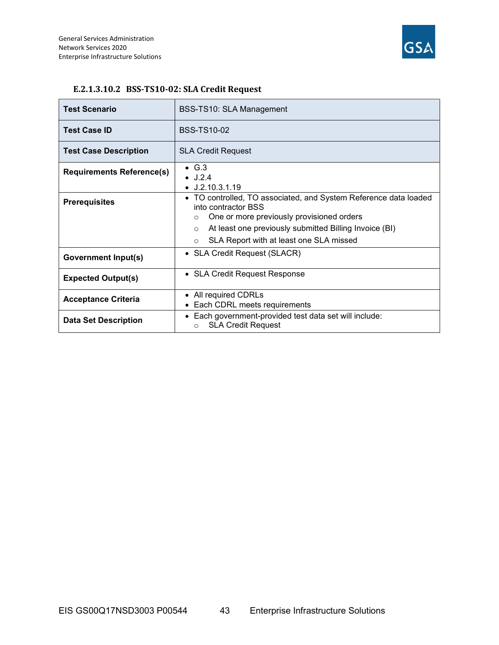

| <b>Test Scenario</b>             | BSS-TS10: SLA Management                                                                                                                                                                                              |  |  |
|----------------------------------|-----------------------------------------------------------------------------------------------------------------------------------------------------------------------------------------------------------------------|--|--|
| <b>Test Case ID</b>              | <b>BSS-TS10-02</b>                                                                                                                                                                                                    |  |  |
| <b>Test Case Description</b>     | <b>SLA Credit Request</b>                                                                                                                                                                                             |  |  |
| <b>Requirements Reference(s)</b> | $\bullet$ G.3<br>$\bullet$ J.2.4<br>$\bullet$ J.2.10.3.1.19                                                                                                                                                           |  |  |
| <b>Prerequisites</b>             | • TO controlled, TO associated, and System Reference data loaded<br>into contractor BSS<br>One or more previously provisioned orders<br>$\circ$<br>At least one previously submitted Billing Invoice (BI)<br>$\Omega$ |  |  |
|                                  | SLA Report with at least one SLA missed<br>$\circ$                                                                                                                                                                    |  |  |
| <b>Government Input(s)</b>       | • SLA Credit Request (SLACR)                                                                                                                                                                                          |  |  |
| <b>Expected Output(s)</b>        | • SLA Credit Request Response                                                                                                                                                                                         |  |  |
| <b>Acceptance Criteria</b>       | • All required CDRLs<br>• Each CDRL meets requirements                                                                                                                                                                |  |  |
| <b>Data Set Description</b>      | • Each government-provided test data set will include:<br><b>SLA Credit Request</b><br>$\circ$                                                                                                                        |  |  |

#### E.2.1.3.10.2 BSS-TS10-02: SLA Credit Request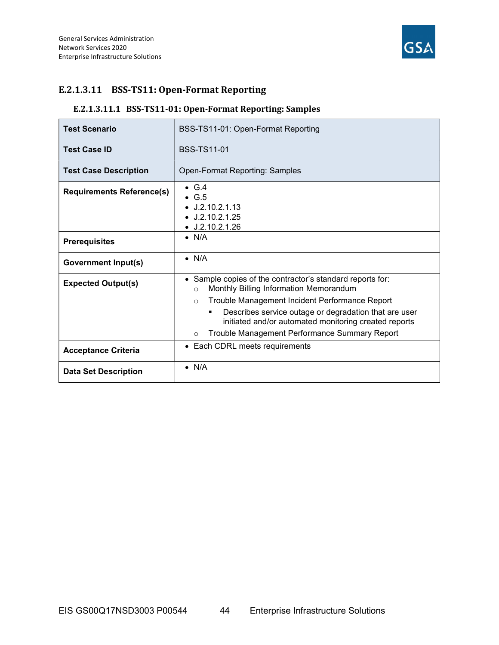

## E.2.1.3.11 BSS-TS11: Open-Format Reporting

## E.2.1.3.11.1 BSS-TS11-01: Open-Format Reporting: Samples

| <b>Test Scenario</b>             | BSS-TS11-01: Open-Format Reporting                                                                                                                                              |  |  |
|----------------------------------|---------------------------------------------------------------------------------------------------------------------------------------------------------------------------------|--|--|
| <b>Test Case ID</b>              | <b>BSS-TS11-01</b>                                                                                                                                                              |  |  |
| <b>Test Case Description</b>     | <b>Open-Format Reporting: Samples</b>                                                                                                                                           |  |  |
| <b>Requirements Reference(s)</b> | $\bullet$ G.4<br>$\bullet$ G.5<br>$\bullet$ J.2.10.2.1.13<br>$\bullet$ J.2.10.2.1.25<br>$\bullet$ J.2.10.2.1.26                                                                 |  |  |
| <b>Prerequisites</b>             | $\bullet$ N/A                                                                                                                                                                   |  |  |
| <b>Government Input(s)</b>       | $\bullet$ N/A                                                                                                                                                                   |  |  |
| <b>Expected Output(s)</b>        | • Sample copies of the contractor's standard reports for:<br>Monthly Billing Information Memorandum<br>$\Omega$<br>Trouble Management Incident Performance Report<br>$\circ$    |  |  |
|                                  | Describes service outage or degradation that are user<br>٠<br>initiated and/or automated monitoring created reports<br>Trouble Management Performance Summary Report<br>$\circ$ |  |  |
| <b>Acceptance Criteria</b>       | Each CDRL meets requirements<br>$\bullet$                                                                                                                                       |  |  |
| <b>Data Set Description</b>      | $\bullet$ N/A                                                                                                                                                                   |  |  |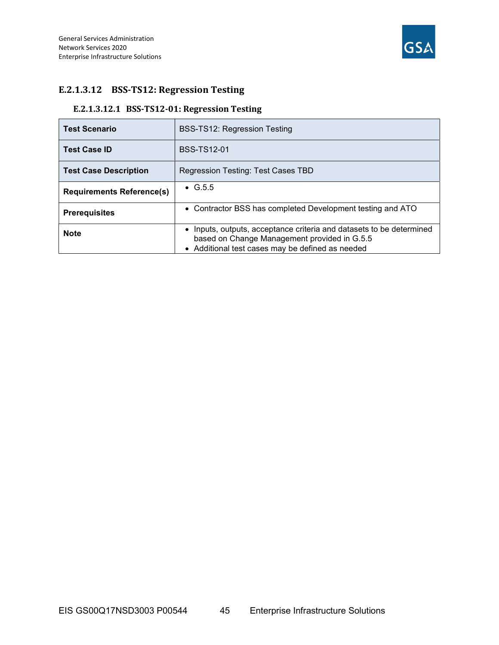

## E.2.1.3.12 BSS-TS12: Regression Testing

## E.2.1.3.12.1 BSS-TS12-01: Regression Testing

| <b>Test Scenario</b>             | <b>BSS-TS12: Regression Testing</b>                                                                                                                                      |
|----------------------------------|--------------------------------------------------------------------------------------------------------------------------------------------------------------------------|
| <b>Test Case ID</b>              | <b>BSS-TS12-01</b>                                                                                                                                                       |
| <b>Test Case Description</b>     | Regression Testing: Test Cases TBD                                                                                                                                       |
| <b>Requirements Reference(s)</b> | $\bullet$ G.5.5                                                                                                                                                          |
| <b>Prerequisites</b>             | • Contractor BSS has completed Development testing and ATO                                                                                                               |
| <b>Note</b>                      | • Inputs, outputs, acceptance criteria and datasets to be determined<br>based on Change Management provided in G.5.5<br>• Additional test cases may be defined as needed |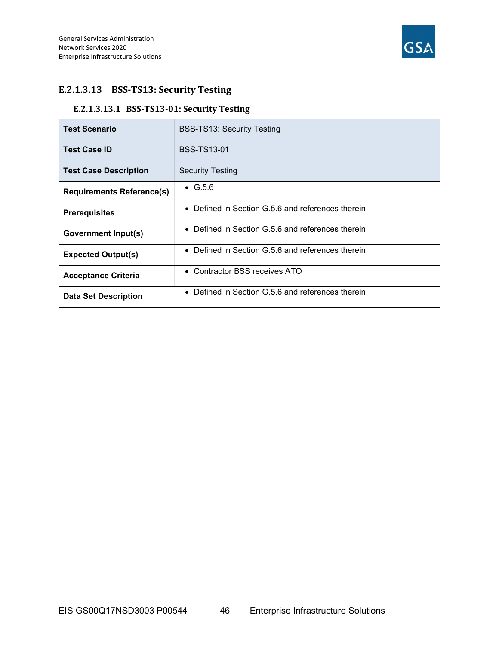

## E.2.1.3.13 BSS-TS13: Security Testing

## E.2.1.3.13.1 BSS-TS13-01: Security Testing

| <b>Test Scenario</b>             | <b>BSS-TS13: Security Testing</b>                            |
|----------------------------------|--------------------------------------------------------------|
| <b>Test Case ID</b>              | <b>BSS-TS13-01</b>                                           |
| <b>Test Case Description</b>     | <b>Security Testing</b>                                      |
| <b>Requirements Reference(s)</b> | $\bullet$ G.5.6                                              |
| <b>Prerequisites</b>             | • Defined in Section G.5.6 and references therein            |
| <b>Government Input(s)</b>       | Defined in Section G.5.6 and references therein<br>$\bullet$ |
| <b>Expected Output(s)</b>        | • Defined in Section G.5.6 and references therein            |
| <b>Acceptance Criteria</b>       | • Contractor BSS receives ATO                                |
| <b>Data Set Description</b>      | • Defined in Section G.5.6 and references therein            |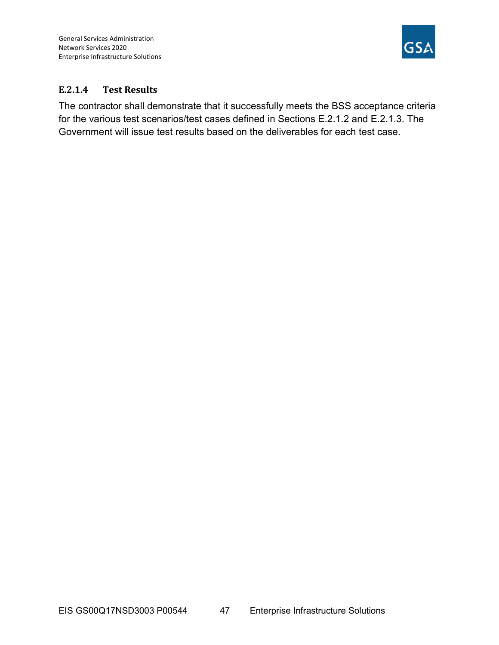

## E.2.1.4 Test Results

The contractor shall demonstrate that it successfully meets the BSS acceptance criteria for the various test scenarios/test cases defined in Sections E.2.1.2 and E.2.1.3. The Government will issue test results based on the deliverables for each test case.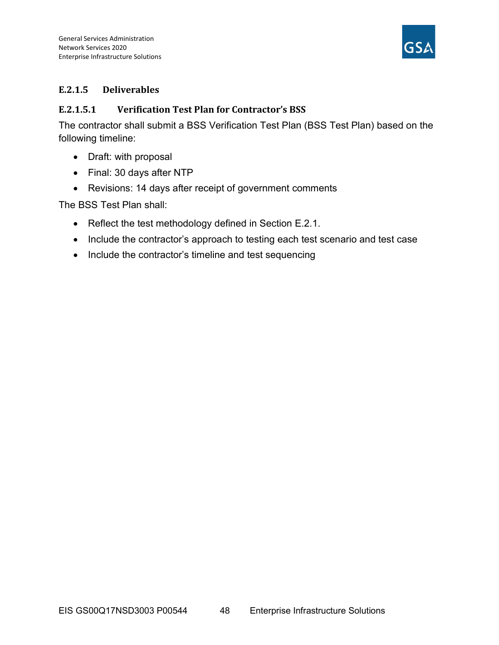

## E.2.1.5 Deliverables

## E.2.1.5.1 Verification Test Plan for Contractor's BSS

The contractor shall submit a BSS Verification Test Plan (BSS Test Plan) based on the following timeline:

- Draft: with proposal
- Final: 30 days after NTP
- Revisions: 14 days after receipt of government comments

The BSS Test Plan shall:

- Reflect the test methodology defined in Section E.2.1.
- Include the contractor's approach to testing each test scenario and test case
- Include the contractor's timeline and test sequencing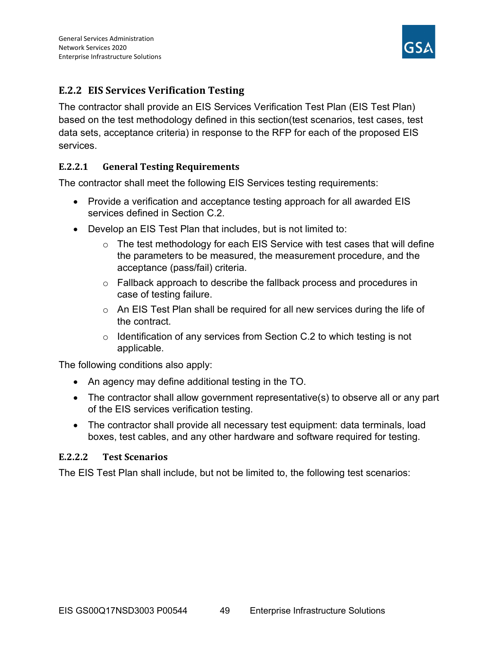

## E.2.2 EIS Services Verification Testing

The contractor shall provide an EIS Services Verification Test Plan (EIS Test Plan) based on the test methodology defined in this section(test scenarios, test cases, test data sets, acceptance criteria) in response to the RFP for each of the proposed EIS services.

## E.2.2.1 General Testing Requirements

The contractor shall meet the following EIS Services testing requirements:

- Provide a verification and acceptance testing approach for all awarded EIS services defined in Section C.2.
- Develop an EIS Test Plan that includes, but is not limited to:
	- $\circ$  The test methodology for each EIS Service with test cases that will define the parameters to be measured, the measurement procedure, and the acceptance (pass/fail) criteria.
	- o Fallback approach to describe the fallback process and procedures in case of testing failure.
	- $\circ$  An EIS Test Plan shall be required for all new services during the life of the contract.
	- $\circ$  Identification of any services from Section C.2 to which testing is not applicable.

The following conditions also apply:

- An agency may define additional testing in the TO.
- The contractor shall allow government representative(s) to observe all or any part of the EIS services verification testing.
- The contractor shall provide all necessary test equipment: data terminals, load boxes, test cables, and any other hardware and software required for testing.

## E.2.2.2 Test Scenarios

The EIS Test Plan shall include, but not be limited to, the following test scenarios: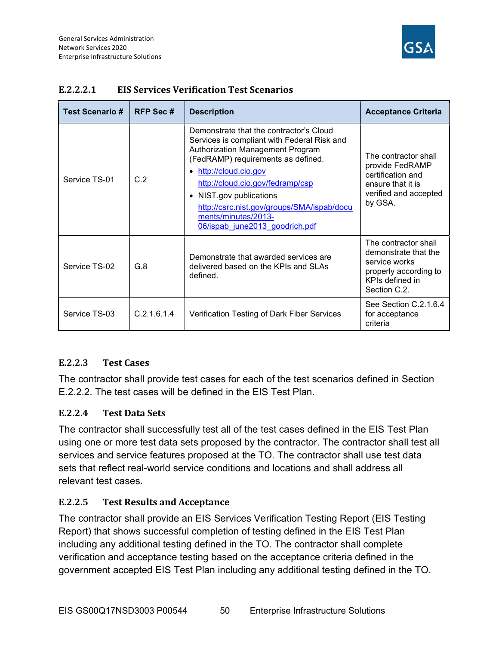

| <b>Test Scenario#</b> | <b>RFP Sec#</b> | <b>Description</b>                                                                                                                                                                                                                                                                                                                                                          | <b>Acceptance Criteria</b>                                                                                                |
|-----------------------|-----------------|-----------------------------------------------------------------------------------------------------------------------------------------------------------------------------------------------------------------------------------------------------------------------------------------------------------------------------------------------------------------------------|---------------------------------------------------------------------------------------------------------------------------|
| Service TS-01         | C.2             | Demonstrate that the contractor's Cloud<br>Services is compliant with Federal Risk and<br>Authorization Management Program<br>(FedRAMP) requirements as defined.<br>• http://cloud.cio.gov<br>http://cloud.cio.gov/fedramp/csp<br>NIST.gov publications<br>$\bullet$<br>http://csrc.nist.gov/groups/SMA/ispab/docu<br>ments/minutes/2013-<br>06/ispab june2013 goodrich.pdf | The contractor shall<br>provide FedRAMP<br>certification and<br>ensure that it is<br>verified and accepted<br>by GSA.     |
| Service TS-02         | G.8             | Demonstrate that awarded services are<br>delivered based on the KPIs and SLAs<br>defined.                                                                                                                                                                                                                                                                                   | The contractor shall<br>demonstrate that the<br>service works<br>properly according to<br>KPIs defined in<br>Section C.2. |
| Service TS-03         | C.2.1.6.1.4     | Verification Testing of Dark Fiber Services                                                                                                                                                                                                                                                                                                                                 | See Section C.2.1.6.4<br>for acceptance<br>criteria                                                                       |

## E.2.2.2.1 EIS Services Verification Test Scenarios

## E.2.2.3 Test Cases

The contractor shall provide test cases for each of the test scenarios defined in Section E.2.2.2. The test cases will be defined in the EIS Test Plan.

## E.2.2.4 Test Data Sets

The contractor shall successfully test all of the test cases defined in the EIS Test Plan using one or more test data sets proposed by the contractor. The contractor shall test all services and service features proposed at the TO. The contractor shall use test data sets that reflect real-world service conditions and locations and shall address all relevant test cases.

## E.2.2.5 Test Results and Acceptance

The contractor shall provide an EIS Services Verification Testing Report (EIS Testing Report) that shows successful completion of testing defined in the EIS Test Plan including any additional testing defined in the TO. The contractor shall complete verification and acceptance testing based on the acceptance criteria defined in the government accepted EIS Test Plan including any additional testing defined in the TO.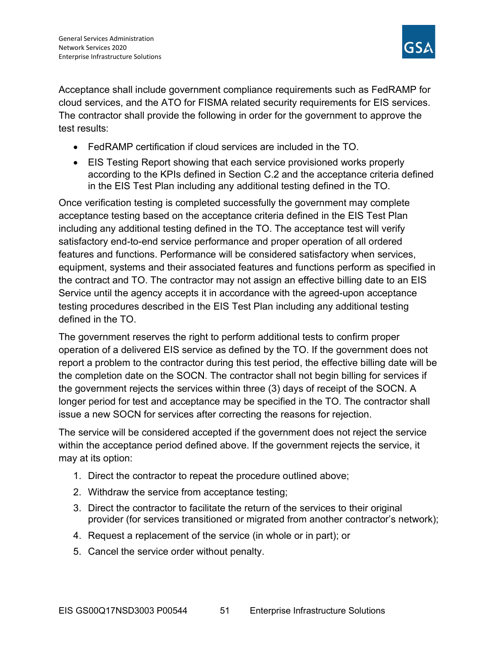

Acceptance shall include government compliance requirements such as FedRAMP for cloud services, and the ATO for FISMA related security requirements for EIS services. The contractor shall provide the following in order for the government to approve the test results:

- FedRAMP certification if cloud services are included in the TO.
- EIS Testing Report showing that each service provisioned works properly according to the KPIs defined in Section C.2 and the acceptance criteria defined in the EIS Test Plan including any additional testing defined in the TO.

Once verification testing is completed successfully the government may complete acceptance testing based on the acceptance criteria defined in the EIS Test Plan including any additional testing defined in the TO. The acceptance test will verify satisfactory end-to-end service performance and proper operation of all ordered features and functions. Performance will be considered satisfactory when services, equipment, systems and their associated features and functions perform as specified in the contract and TO. The contractor may not assign an effective billing date to an EIS Service until the agency accepts it in accordance with the agreed-upon acceptance testing procedures described in the EIS Test Plan including any additional testing defined in the TO.

The government reserves the right to perform additional tests to confirm proper operation of a delivered EIS service as defined by the TO. If the government does not report a problem to the contractor during this test period, the effective billing date will be the completion date on the SOCN. The contractor shall not begin billing for services if the government rejects the services within three (3) days of receipt of the SOCN. A longer period for test and acceptance may be specified in the TO. The contractor shall issue a new SOCN for services after correcting the reasons for rejection.

The service will be considered accepted if the government does not reject the service within the acceptance period defined above. If the government rejects the service, it may at its option:

- 1. Direct the contractor to repeat the procedure outlined above;
- 2. Withdraw the service from acceptance testing;
- 3. Direct the contractor to facilitate the return of the services to their original provider (for services transitioned or migrated from another contractor's network);
- 4. Request a replacement of the service (in whole or in part); or
- 5. Cancel the service order without penalty.